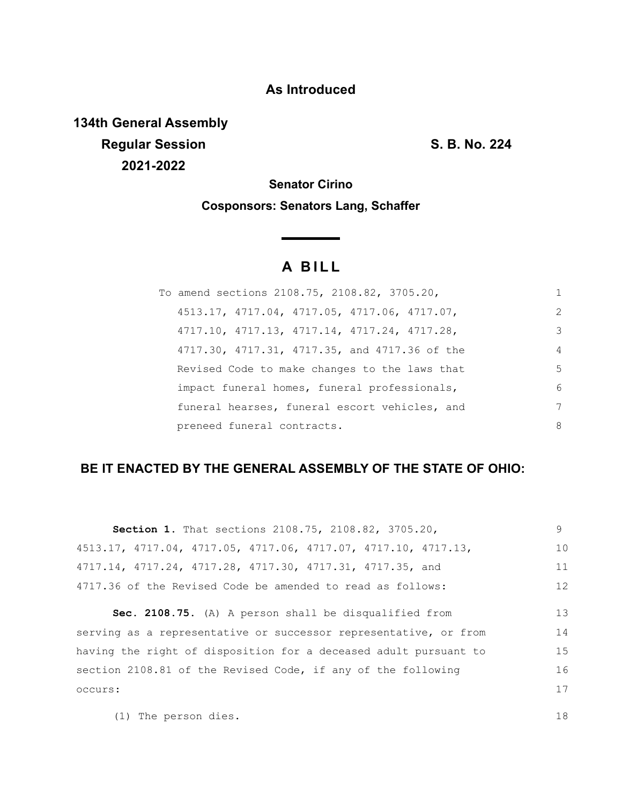## **As Introduced**

**134th General Assembly Regular Session S. B. No. 224 2021-2022**

**Senator Cirino**

**Cosponsors: Senators Lang, Schaffer**

# **A B I L L**

| To amend sections 2108.75, 2108.82, 3705.20,  |                |
|-----------------------------------------------|----------------|
| 4513.17, 4717.04, 4717.05, 4717.06, 4717.07,  | $\mathcal{L}$  |
| 4717.10, 4717.13, 4717.14, 4717.24, 4717.28,  | 3              |
| 4717.30, 4717.31, 4717.35, and 4717.36 of the | $\overline{4}$ |
| Revised Code to make changes to the laws that | 5              |
| impact funeral homes, funeral professionals,  | 6              |
| funeral hearses, funeral escort vehicles, and | 7              |
| preneed funeral contracts.                    | 8              |

## **BE IT ENACTED BY THE GENERAL ASSEMBLY OF THE STATE OF OHIO:**

| Section 1. That sections 2108.75, 2108.82, 3705.20,              | 9  |
|------------------------------------------------------------------|----|
| 4513.17, 4717.04, 4717.05, 4717.06, 4717.07, 4717.10, 4717.13,   | 10 |
| 4717.14, 4717.24, 4717.28, 4717.30, 4717.31, 4717.35, and        | 11 |
| 4717.36 of the Revised Code be amended to read as follows:       | 12 |
| Sec. 2108.75. (A) A person shall be disqualified from            | 13 |
| serving as a representative or successor representative, or from | 14 |
| having the right of disposition for a deceased adult pursuant to | 15 |
| section 2108.81 of the Revised Code, if any of the following     | 16 |
|                                                                  |    |

(1) The person dies.

occurs:

18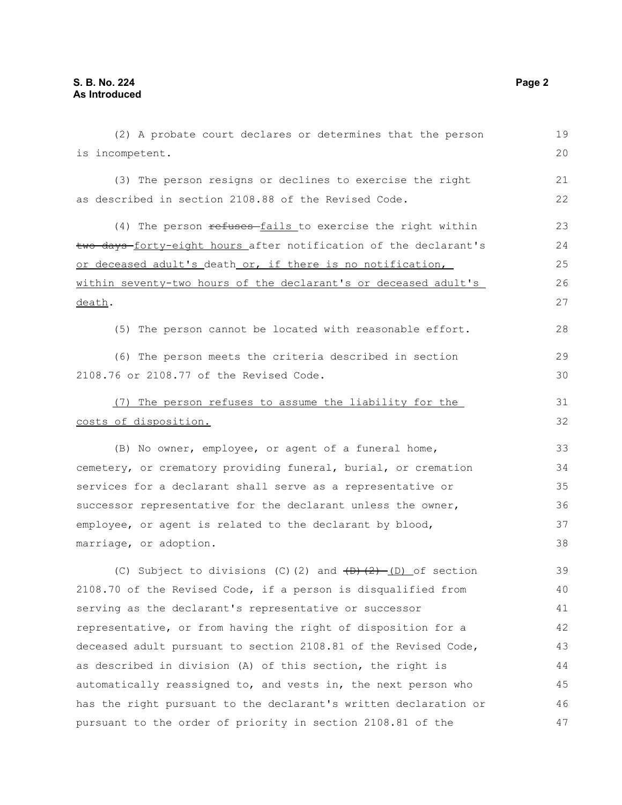(2) A probate court declares or determines that the person is incompetent. (3) The person resigns or declines to exercise the right as described in section 2108.88 of the Revised Code. (4) The person refuses-fails to exercise the right within two days-forty-eight hours after notification of the declarant's or deceased adult's death or, if there is no notification, within seventy-two hours of the declarant's or deceased adult's death. (5) The person cannot be located with reasonable effort. (6) The person meets the criteria described in section 2108.76 or 2108.77 of the Revised Code. (7) The person refuses to assume the liability for the costs of disposition. (B) No owner, employee, or agent of a funeral home, cemetery, or crematory providing funeral, burial, or cremation services for a declarant shall serve as a representative or successor representative for the declarant unless the owner, employee, or agent is related to the declarant by blood, marriage, or adoption. (C) Subject to divisions (C)(2) and  $\overline{(D)+(2)-(D)}$  of section 2108.70 of the Revised Code, if a person is disqualified from serving as the declarant's representative or successor representative, or from having the right of disposition for a deceased adult pursuant to section 2108.81 of the Revised Code, as described in division (A) of this section, the right is automatically reassigned to, and vests in, the next person who has the right pursuant to the declarant's written declaration or pursuant to the order of priority in section 2108.81 of the 19 20 21 22 23 24 25 26 27 28 29 30 31 32 33 34 35 36 37 38 39 40 41 42 43 44 45 46 47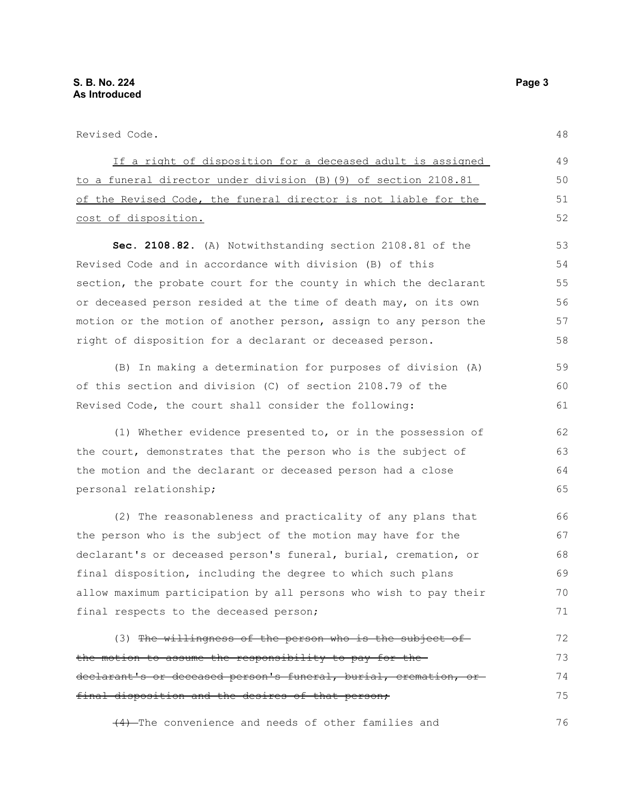Revised Code.

If a right of disposition for a deceased adult is assigned to a funeral director under division (B)(9) of section 2108.81 of the Revised Code, the funeral director is not liable for the cost of disposition. **Sec. 2108.82.** (A) Notwithstanding section 2108.81 of the Revised Code and in accordance with division (B) of this section, the probate court for the county in which the declarant or deceased person resided at the time of death may, on its own motion or the motion of another person, assign to any person the right of disposition for a declarant or deceased person. (B) In making a determination for purposes of division (A) 48 49 50 51 52 53 54 55 56 57 58 59 60

of this section and division (C) of section 2108.79 of the Revised Code, the court shall consider the following: (1) Whether evidence presented to, or in the possession of the court, demonstrates that the person who is the subject of

the motion and the declarant or deceased person had a close personal relationship; 64 65

(2) The reasonableness and practicality of any plans that the person who is the subject of the motion may have for the declarant's or deceased person's funeral, burial, cremation, or final disposition, including the degree to which such plans allow maximum participation by all persons who wish to pay their final respects to the deceased person; 66 67 68 69 70 71

(3) The willingness of the person who is the subject of the motion to assume the responsibility to pay for the declarant's or deceased person's funeral, burial, cremation, or final disposition and the desires of that person; 72 73 74 75

(4) The convenience and needs of other families and

61

62 63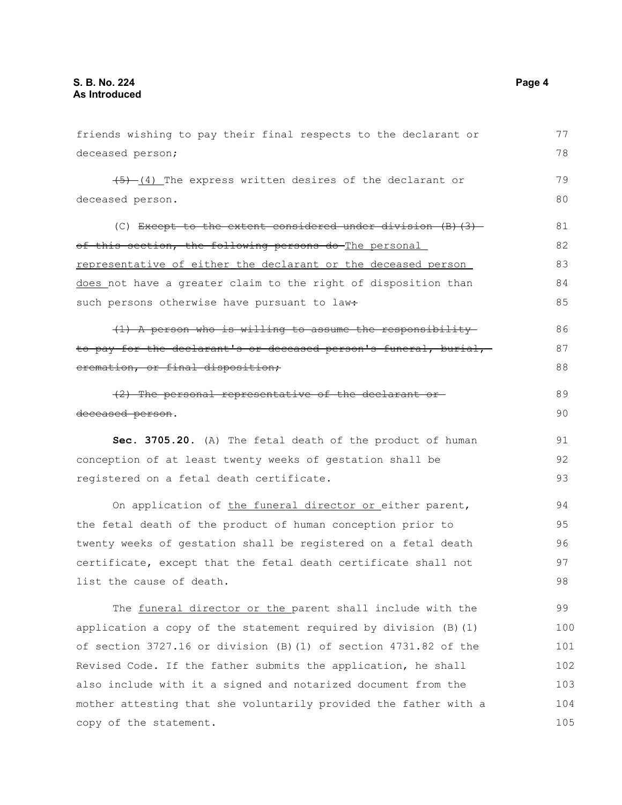| friends wishing to pay their final respects to the declarant or    | 77  |
|--------------------------------------------------------------------|-----|
| deceased person;                                                   | 78  |
| $\frac{+5}{-1}$ The express written desires of the declarant or    | 79  |
| deceased person.                                                   | 80  |
| (C) Except to the extent considered under division $(B)$ $(3)$     | 81  |
| of this section, the following persons do The personal             | 82  |
| representative of either the declarant or the deceased person      | 83  |
| does not have a greater claim to the right of disposition than     | 84  |
| such persons otherwise have pursuant to law:                       | 85  |
| (1) A person who is willing to assume the responsibility           | 86  |
| to pay for the declarant's or deceased person's funeral, burial,   | 87  |
| eremation, or final disposition;                                   | 88  |
| (2) The personal representative of the declarant or-               | 89  |
| deceased person.                                                   | 90  |
| Sec. 3705.20. (A) The fetal death of the product of human          | 91  |
| conception of at least twenty weeks of gestation shall be          | 92  |
| registered on a fetal death certificate.                           | 93  |
| On application of the funeral director or either parent,           | 94  |
| the fetal death of the product of human conception prior to        | 95  |
| twenty weeks of gestation shall be registered on a fetal death     | 96  |
| certificate, except that the fetal death certificate shall not     | 97  |
| list the cause of death.                                           | 98  |
| The funeral director or the parent shall include with the          | 99  |
| application a copy of the statement required by division $(B)$ (1) | 100 |
| of section 3727.16 or division (B) (1) of section 4731.82 of the   | 101 |
| Revised Code. If the father submits the application, he shall      | 102 |
| also include with it a signed and notarized document from the      | 103 |
| mother attesting that she voluntarily provided the father with a   | 104 |
| copy of the statement.                                             | 105 |
|                                                                    |     |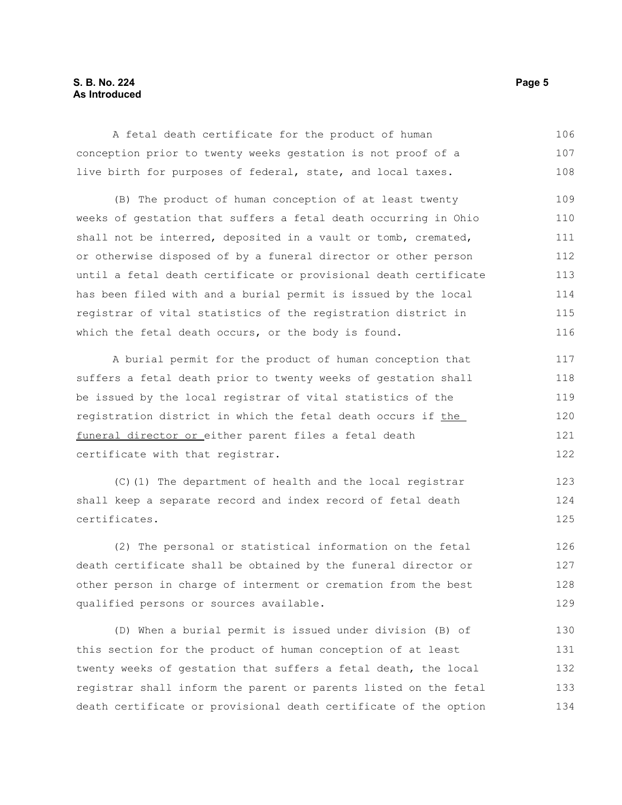#### **S. B. No. 224** Page 5 **As Introduced**

A fetal death certificate for the product of human conception prior to twenty weeks gestation is not proof of a live birth for purposes of federal, state, and local taxes. 106 107 108

(B) The product of human conception of at least twenty weeks of gestation that suffers a fetal death occurring in Ohio shall not be interred, deposited in a vault or tomb, cremated, or otherwise disposed of by a funeral director or other person until a fetal death certificate or provisional death certificate has been filed with and a burial permit is issued by the local registrar of vital statistics of the registration district in which the fetal death occurs, or the body is found. 109 110 111 112 113 114 115 116

A burial permit for the product of human conception that suffers a fetal death prior to twenty weeks of gestation shall be issued by the local registrar of vital statistics of the registration district in which the fetal death occurs if the funeral director or either parent files a fetal death certificate with that registrar. 117 118 119 120 121

(C)(1) The department of health and the local registrar shall keep a separate record and index record of fetal death certificates.

(2) The personal or statistical information on the fetal death certificate shall be obtained by the funeral director or other person in charge of interment or cremation from the best qualified persons or sources available. 126 127 128 129

(D) When a burial permit is issued under division (B) of this section for the product of human conception of at least twenty weeks of gestation that suffers a fetal death, the local registrar shall inform the parent or parents listed on the fetal death certificate or provisional death certificate of the option 130 131 132 133 134

122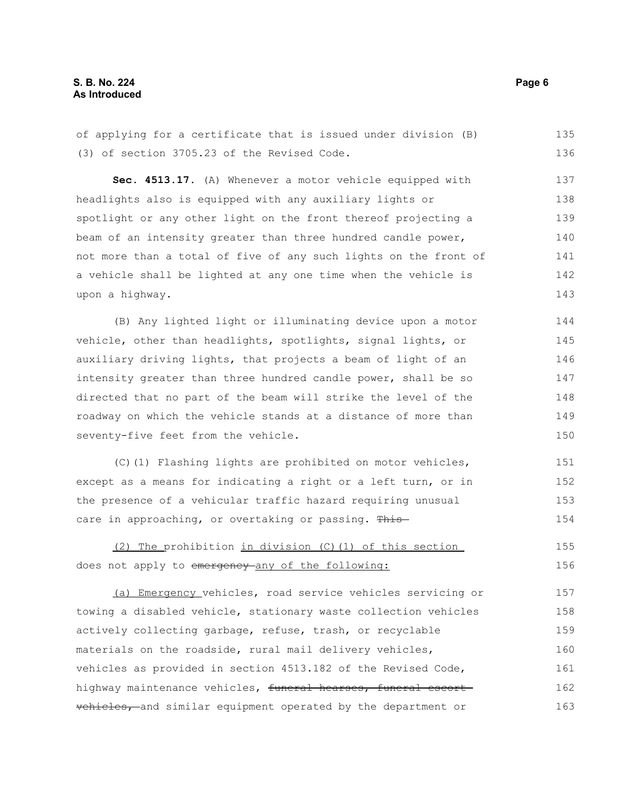#### **S. B. No. 224** Page 6 **As Introduced**

of applying for a certificate that is issued under division (B) (3) of section 3705.23 of the Revised Code. 135 136

**Sec. 4513.17.** (A) Whenever a motor vehicle equipped with headlights also is equipped with any auxiliary lights or spotlight or any other light on the front thereof projecting a beam of an intensity greater than three hundred candle power, not more than a total of five of any such lights on the front of a vehicle shall be lighted at any one time when the vehicle is upon a highway. 137 138 139 140 141 142 143

(B) Any lighted light or illuminating device upon a motor vehicle, other than headlights, spotlights, signal lights, or auxiliary driving lights, that projects a beam of light of an intensity greater than three hundred candle power, shall be so directed that no part of the beam will strike the level of the roadway on which the vehicle stands at a distance of more than seventy-five feet from the vehicle. 144 145 146 147 148 149 150

(C)(1) Flashing lights are prohibited on motor vehicles, except as a means for indicating a right or a left turn, or in the presence of a vehicular traffic hazard requiring unusual care in approaching, or overtaking or passing. This-151 152 153 154

(2) The prohibition in division (C)(1) of this section does not apply to emergency any of the following: 155 156

(a) Emergency vehicles, road service vehicles servicing or towing a disabled vehicle, stationary waste collection vehicles actively collecting garbage, refuse, trash, or recyclable materials on the roadside, rural mail delivery vehicles, vehicles as provided in section 4513.182 of the Revised Code, highway maintenance vehicles, funeral hearses, funeral escort vehicles, and similar equipment operated by the department or 157 158 159 160 161 162 163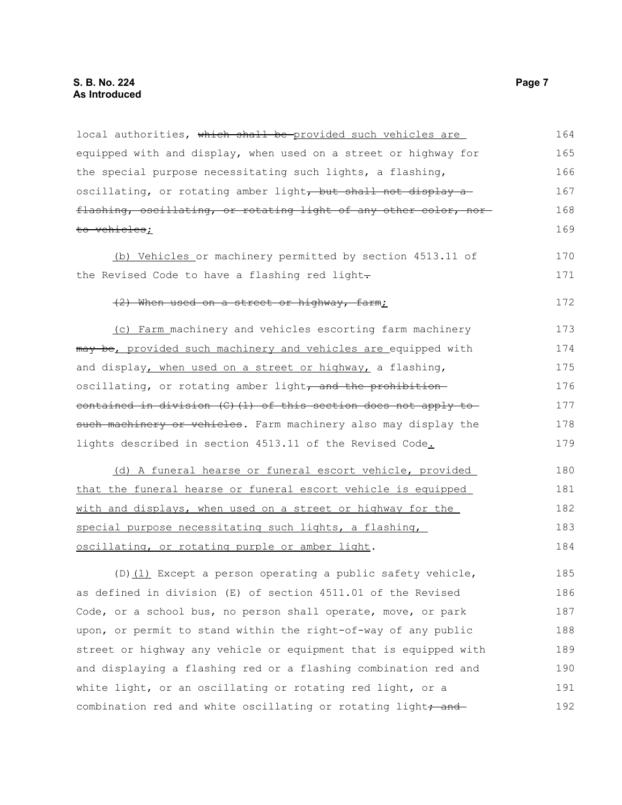### **S. B. No. 224** Page 7 **As Introduced**

local authorities, which shall be-provided such vehicles are equipped with and display, when used on a street or highway for the special purpose necessitating such lights, a flashing, oscillating, or rotating amber light, but shall not display a flashing, oscillating, or rotating light of any other color, nor to vehicles; 164 165 166 167 168 169

(b) Vehicles or machinery permitted by section 4513.11 of the Revised Code to have a flashing red light-

#### (2) When used on a street or highway, farm;

(c) Farm machinery and vehicles escorting farm machinery may be, provided such machinery and vehicles are equipped with and display, when used on a street or highway, a flashing, oscillating, or rotating amber light, and the prohibitioncontained in division (C)(1) of this section does not apply to such machinery or vehicles. Farm machinery also may display the lights described in section 4513.11 of the Revised Code. 173 174 175 176 177 178 179

(d) A funeral hearse or funeral escort vehicle, provided that the funeral hearse or funeral escort vehicle is equipped with and displays, when used on a street or highway for the special purpose necessitating such lights, a flashing, oscillating, or rotating purple or amber light. 180 181 182 183 184

(D) $(1)$  Except a person operating a public safety vehicle, as defined in division (E) of section 4511.01 of the Revised Code, or a school bus, no person shall operate, move, or park upon, or permit to stand within the right-of-way of any public street or highway any vehicle or equipment that is equipped with and displaying a flashing red or a flashing combination red and white light, or an oscillating or rotating red light, or a combination red and white oscillating or rotating light, and 185 186 187 188 189 190 191 192

170 171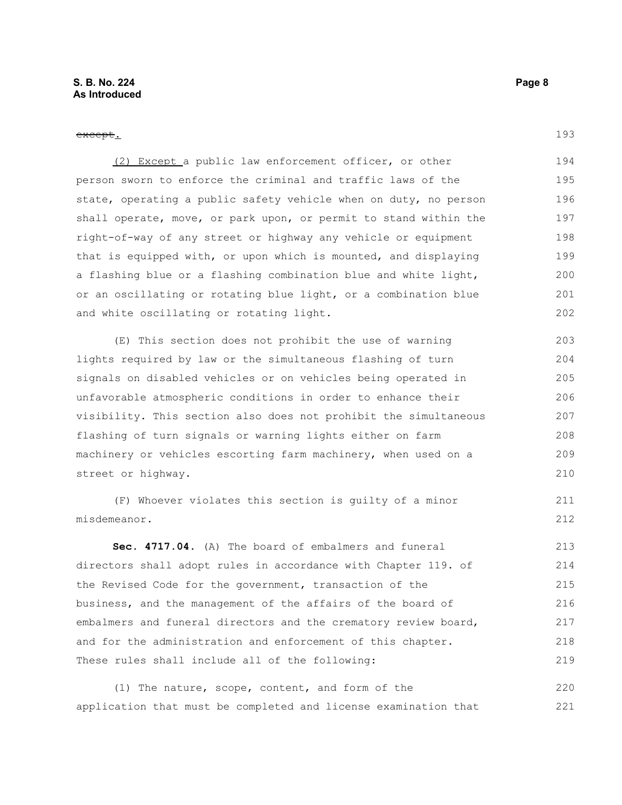#### except.

(2) Except a public law enforcement officer, or other person sworn to enforce the criminal and traffic laws of the state, operating a public safety vehicle when on duty, no person shall operate, move, or park upon, or permit to stand within the right-of-way of any street or highway any vehicle or equipment that is equipped with, or upon which is mounted, and displaying a flashing blue or a flashing combination blue and white light, or an oscillating or rotating blue light, or a combination blue and white oscillating or rotating light. 194 195 196 197 198 199 200 201 202

(E) This section does not prohibit the use of warning lights required by law or the simultaneous flashing of turn signals on disabled vehicles or on vehicles being operated in unfavorable atmospheric conditions in order to enhance their visibility. This section also does not prohibit the simultaneous flashing of turn signals or warning lights either on farm machinery or vehicles escorting farm machinery, when used on a street or highway.

(F) Whoever violates this section is guilty of a minor misdemeanor.

**Sec. 4717.04.** (A) The board of embalmers and funeral directors shall adopt rules in accordance with Chapter 119. of the Revised Code for the government, transaction of the business, and the management of the affairs of the board of embalmers and funeral directors and the crematory review board, and for the administration and enforcement of this chapter. These rules shall include all of the following: 213 214 215 216 217 218 219

(1) The nature, scope, content, and form of the application that must be completed and license examination that 220 221

193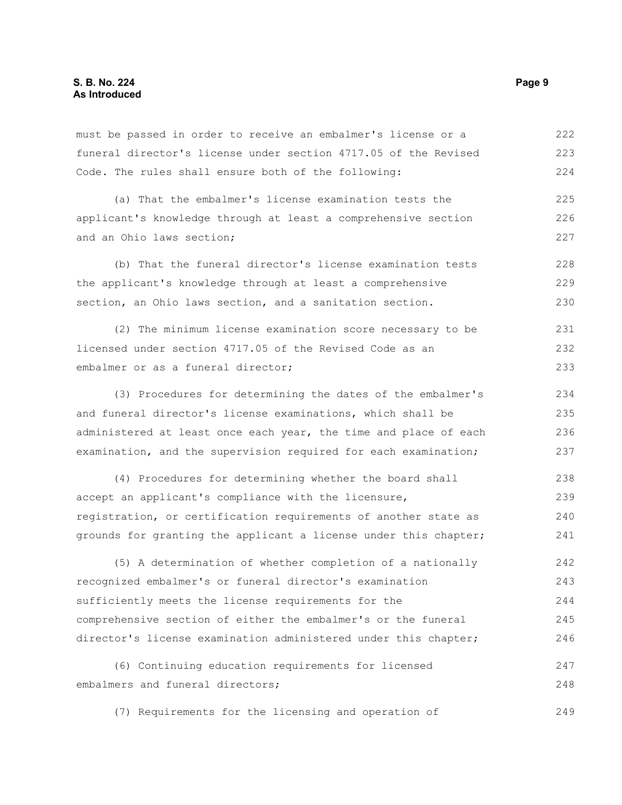must be passed in order to receive an embalmer's license or a funeral director's license under section 4717.05 of the Revised Code. The rules shall ensure both of the following: 222 223 224

(a) That the embalmer's license examination tests the applicant's knowledge through at least a comprehensive section and an Ohio laws section; 225 226 227

(b) That the funeral director's license examination tests the applicant's knowledge through at least a comprehensive section, an Ohio laws section, and a sanitation section. 228 229 230

(2) The minimum license examination score necessary to be licensed under section 4717.05 of the Revised Code as an embalmer or as a funeral director; 231 232 233

(3) Procedures for determining the dates of the embalmer's and funeral director's license examinations, which shall be administered at least once each year, the time and place of each examination, and the supervision required for each examination;

(4) Procedures for determining whether the board shall accept an applicant's compliance with the licensure, registration, or certification requirements of another state as grounds for granting the applicant a license under this chapter; 238 239 240 241

(5) A determination of whether completion of a nationally recognized embalmer's or funeral director's examination sufficiently meets the license requirements for the comprehensive section of either the embalmer's or the funeral director's license examination administered under this chapter; 242 243 244 245 246

(6) Continuing education requirements for licensed embalmers and funeral directors; 247 248

(7) Requirements for the licensing and operation of 249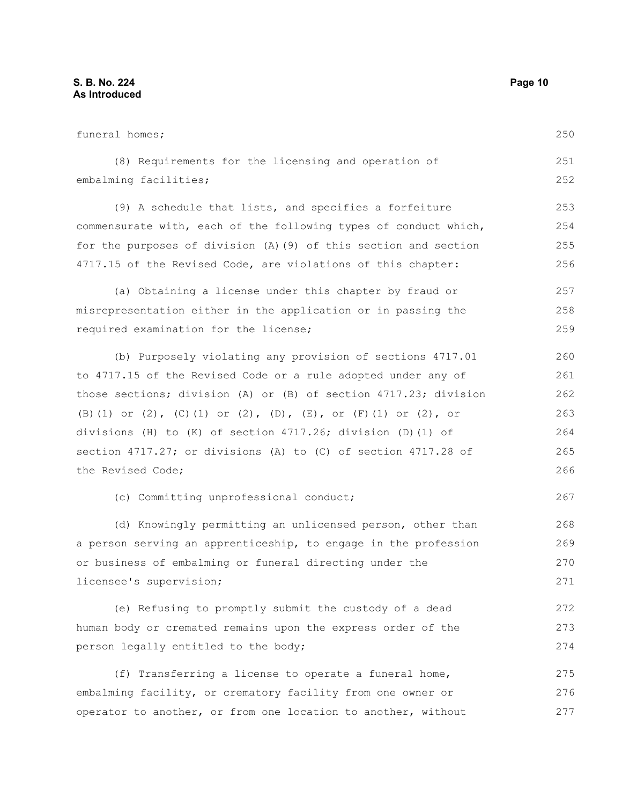funeral homes; (8) Requirements for the licensing and operation of embalming facilities; (9) A schedule that lists, and specifies a forfeiture commensurate with, each of the following types of conduct which, for the purposes of division (A)(9) of this section and section 4717.15 of the Revised Code, are violations of this chapter: (a) Obtaining a license under this chapter by fraud or misrepresentation either in the application or in passing the required examination for the license; (b) Purposely violating any provision of sections 4717.01 to 4717.15 of the Revised Code or a rule adopted under any of those sections; division (A) or (B) of section 4717.23; division (B)(1) or (2), (C)(1) or (2), (D), (E), or (F)(1) or (2), or divisions (H) to (K) of section 4717.26; division (D)(1) of section 4717.27; or divisions (A) to (C) of section 4717.28 of the Revised Code; (c) Committing unprofessional conduct; (d) Knowingly permitting an unlicensed person, other than a person serving an apprenticeship, to engage in the profession or business of embalming or funeral directing under the licensee's supervision; (e) Refusing to promptly submit the custody of a dead human body or cremated remains upon the express order of the person legally entitled to the body; (f) Transferring a license to operate a funeral home, embalming facility, or crematory facility from one owner or operator to another, or from one location to another, without 250 251 252 253 254 255 256 257 258 259 260 261 262 263 264 265 266 267 268 269 270 271 272 273 274 275 276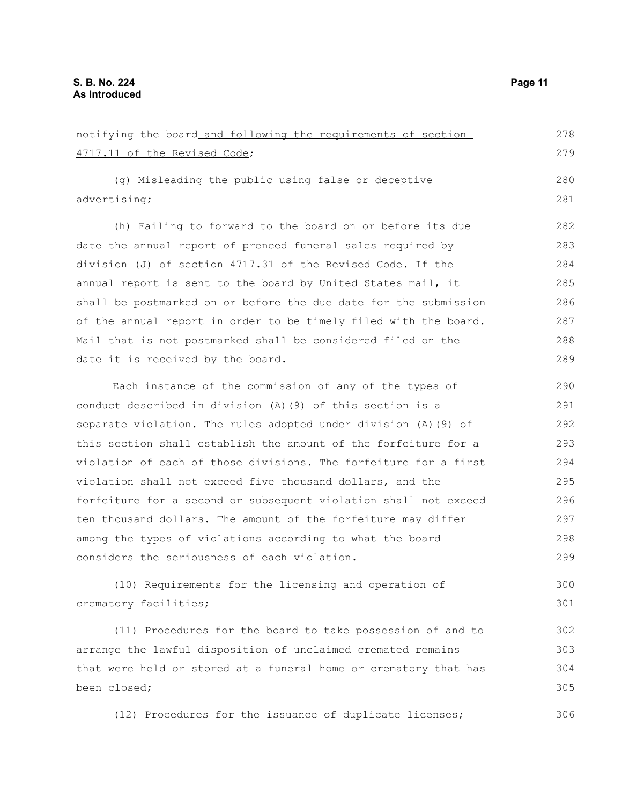been closed;

| notifying the board and following the requirements of section    | 278 |
|------------------------------------------------------------------|-----|
| 4717.11 of the Revised Code;                                     | 279 |
|                                                                  | 280 |
| (g) Misleading the public using false or deceptive               |     |
| advertising;                                                     | 281 |
| (h) Failing to forward to the board on or before its due         | 282 |
| date the annual report of preneed funeral sales required by      | 283 |
| division (J) of section 4717.31 of the Revised Code. If the      | 284 |
| annual report is sent to the board by United States mail, it     | 285 |
| shall be postmarked on or before the due date for the submission | 286 |
| of the annual report in order to be timely filed with the board. | 287 |
| Mail that is not postmarked shall be considered filed on the     | 288 |
| date it is received by the board.                                | 289 |
|                                                                  |     |
| Each instance of the commission of any of the types of           | 290 |
| conduct described in division (A) (9) of this section is a       | 291 |
| separate violation. The rules adopted under division (A) (9) of  | 292 |
| this section shall establish the amount of the forfeiture for a  | 293 |
| violation of each of those divisions. The forfeiture for a first | 294 |
| violation shall not exceed five thousand dollars, and the        | 295 |
| forfeiture for a second or subsequent violation shall not exceed | 296 |
| ten thousand dollars. The amount of the forfeiture may differ    | 297 |
| among the types of violations according to what the board        | 298 |
| considers the seriousness of each violation.                     | 299 |
| (10) Requirements for the licensing and operation of             | 300 |
| crematory facilities;                                            | 301 |
|                                                                  |     |
| (11) Procedures for the board to take possession of and to       | 302 |
| arrange the lawful disposition of unclaimed cremated remains     | 303 |
| that were held or stored at a funeral home or crematory that has | 304 |

(12) Procedures for the issuance of duplicate licenses; 306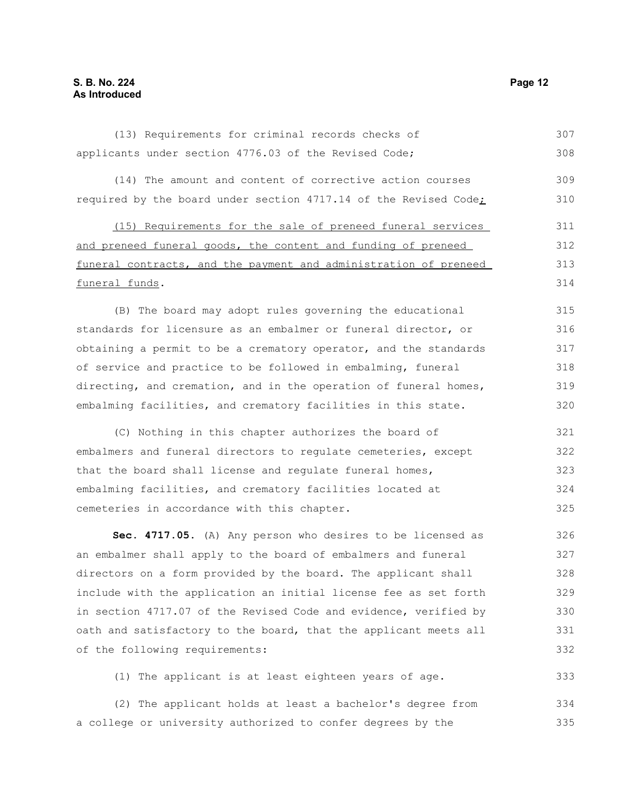| (13) Requirements for criminal records checks of                 | 307 |
|------------------------------------------------------------------|-----|
| applicants under section 4776.03 of the Revised Code;            | 308 |
| (14) The amount and content of corrective action courses         | 309 |
| required by the board under section 4717.14 of the Revised Code; | 310 |
| (15) Requirements for the sale of preneed funeral services       | 311 |
| and preneed funeral goods, the content and funding of preneed    | 312 |
| funeral contracts, and the payment and administration of preneed | 313 |
| funeral funds.                                                   | 314 |
| (B) The board may adopt rules governing the educational          | 315 |
| standards for licensure as an embalmer or funeral director, or   | 316 |
| obtaining a permit to be a crematory operator, and the standards | 317 |
| of service and practice to be followed in embalming, funeral     | 318 |
| directing, and cremation, and in the operation of funeral homes, | 319 |
| embalming facilities, and crematory facilities in this state.    | 320 |
| (C) Nothing in this chapter authorizes the board of              | 321 |
| embalmers and funeral directors to regulate cemeteries, except   | 322 |
| that the board shall license and regulate funeral homes,         | 323 |
| embalming facilities, and crematory facilities located at        | 324 |
| cemeteries in accordance with this chapter.                      | 325 |
| Sec. 4717.05. (A) Any person who desires to be licensed as       | 326 |
| an embalmer shall apply to the board of embalmers and funeral    | 327 |
| directors on a form provided by the board. The applicant shall   | 328 |
| include with the application an initial license fee as set forth | 329 |
| in section 4717.07 of the Revised Code and evidence, verified by | 330 |
| oath and satisfactory to the board, that the applicant meets all | 331 |
| of the following requirements:                                   | 332 |
| (1) The applicant is at least eighteen years of age.             | 333 |

(2) The applicant holds at least a bachelor's degree from a college or university authorized to confer degrees by the 334 335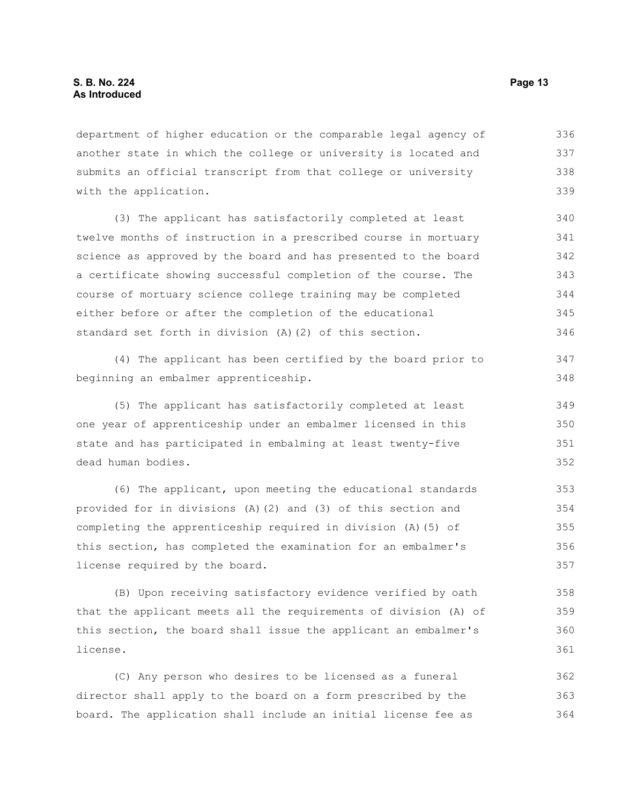department of higher education or the comparable legal agency of another state in which the college or university is located and submits an official transcript from that college or university with the application. 336 337 338 339

(3) The applicant has satisfactorily completed at least twelve months of instruction in a prescribed course in mortuary science as approved by the board and has presented to the board a certificate showing successful completion of the course. The course of mortuary science college training may be completed either before or after the completion of the educational standard set forth in division (A)(2) of this section. 340 341 342 343 344 345 346

(4) The applicant has been certified by the board prior to beginning an embalmer apprenticeship.

(5) The applicant has satisfactorily completed at least one year of apprenticeship under an embalmer licensed in this state and has participated in embalming at least twenty-five dead human bodies. 349 350 351 352

(6) The applicant, upon meeting the educational standards provided for in divisions (A)(2) and (3) of this section and completing the apprenticeship required in division (A)(5) of this section, has completed the examination for an embalmer's license required by the board. 353 354 355 356 357

(B) Upon receiving satisfactory evidence verified by oath that the applicant meets all the requirements of division (A) of this section, the board shall issue the applicant an embalmer's license.

(C) Any person who desires to be licensed as a funeral director shall apply to the board on a form prescribed by the board. The application shall include an initial license fee as 362 363 364

347 348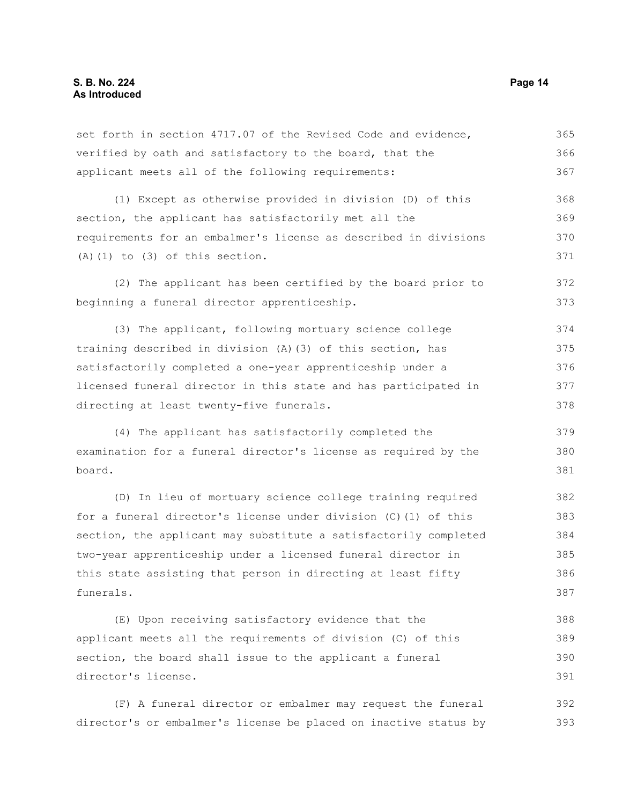| set forth in section 4717.07 of the Revised Code and evidence,      | 365 |
|---------------------------------------------------------------------|-----|
| verified by oath and satisfactory to the board, that the            | 366 |
| applicant meets all of the following requirements:                  | 367 |
| (1) Except as otherwise provided in division (D) of this            | 368 |
| section, the applicant has satisfactorily met all the               | 369 |
| requirements for an embalmer's license as described in divisions    | 370 |
| $(A)$ $(1)$ to $(3)$ of this section.                               | 371 |
| (2) The applicant has been certified by the board prior to          | 372 |
| beginning a funeral director apprenticeship.                        | 373 |
| (3) The applicant, following mortuary science college               | 374 |
| training described in division (A) (3) of this section, has         | 375 |
| satisfactorily completed a one-year apprenticeship under a          | 376 |
| licensed funeral director in this state and has participated in     | 377 |
| directing at least twenty-five funerals.                            | 378 |
| (4) The applicant has satisfactorily completed the                  | 379 |
| examination for a funeral director's license as required by the     | 380 |
| board.                                                              | 381 |
| (D) In lieu of mortuary science college training required           | 382 |
| for a funeral director's license under division (C) (1) of this     | 383 |
| section, the applicant may substitute a satisfactorily completed    | 384 |
| two-year apprenticeship under a licensed funeral director in        | 385 |
| this state assisting that person in directing at least fifty        | 386 |
| funerals.                                                           | 387 |
| (E) Upon receiving satisfactory evidence that the                   | 388 |
| applicant meets all the requirements of division (C) of this        | 389 |
| section, the board shall issue to the applicant a funeral           | 390 |
| director's license.                                                 | 391 |
| $(F)$ $\Delta$ funeral director or embalmer may request the funeral | 392 |

(F) A funeral director or embalmer may request the funeral director's or embalmer's license be placed on inactive status by 393392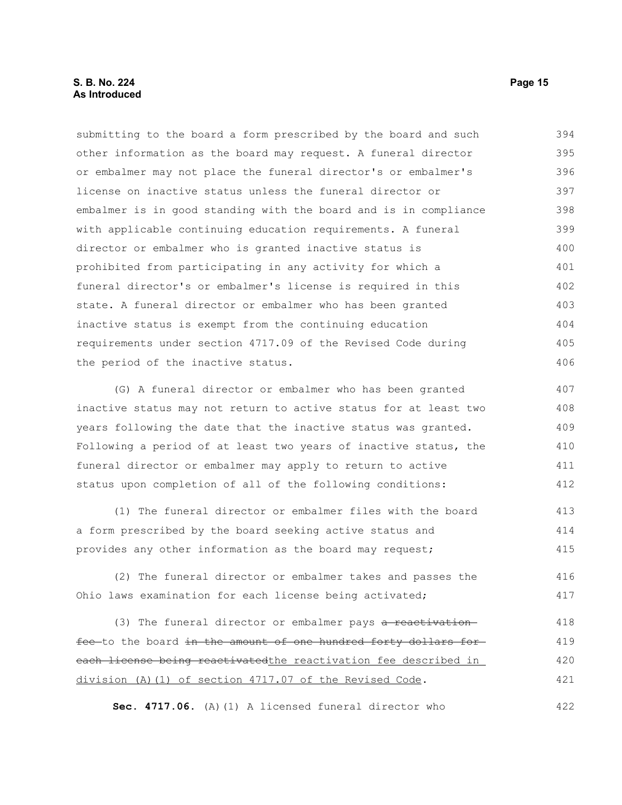### **S. B. No. 224 Page 15 As Introduced**

submitting to the board a form prescribed by the board and such other information as the board may request. A funeral director or embalmer may not place the funeral director's or embalmer's license on inactive status unless the funeral director or embalmer is in good standing with the board and is in compliance with applicable continuing education requirements. A funeral director or embalmer who is granted inactive status is prohibited from participating in any activity for which a funeral director's or embalmer's license is required in this state. A funeral director or embalmer who has been granted inactive status is exempt from the continuing education requirements under section 4717.09 of the Revised Code during the period of the inactive status. 394 395 396 397 398 399 400 401 402 403 404 405 406

(G) A funeral director or embalmer who has been granted inactive status may not return to active status for at least two years following the date that the inactive status was granted. Following a period of at least two years of inactive status, the funeral director or embalmer may apply to return to active status upon completion of all of the following conditions: 407 408 409 410 411 412

(1) The funeral director or embalmer files with the board a form prescribed by the board seeking active status and provides any other information as the board may request; 413 414 415

(2) The funeral director or embalmer takes and passes the Ohio laws examination for each license being activated; 416 417

(3) The funeral director or embalmer pays a reactivation fee to the board in the amount of one hundred forty dollars foreach license being reactivatedthe reactivation fee described in division (A)(1) of section 4717.07 of the Revised Code. 418 419 420 421

**Sec. 4717.06.** (A)(1) A licensed funeral director who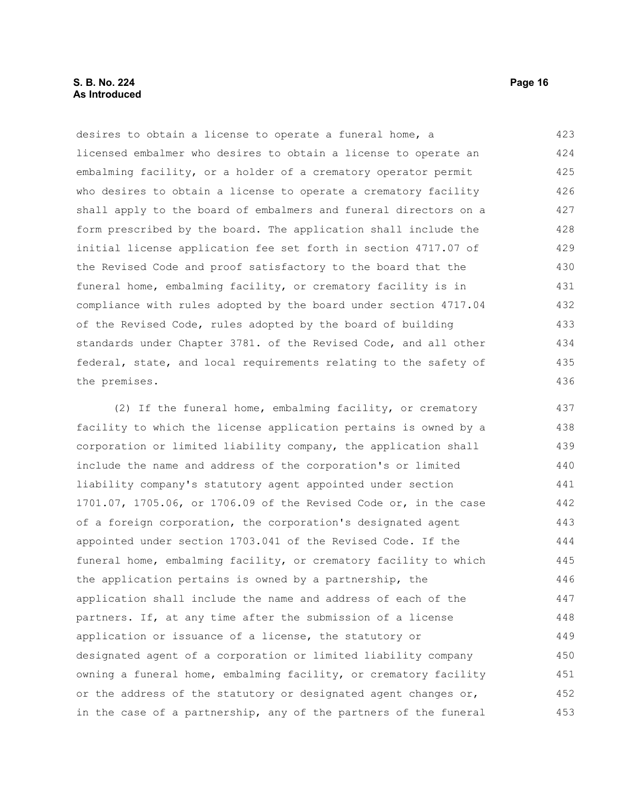### **S. B. No. 224 Page 16 As Introduced**

desires to obtain a license to operate a funeral home, a licensed embalmer who desires to obtain a license to operate an embalming facility, or a holder of a crematory operator permit who desires to obtain a license to operate a crematory facility shall apply to the board of embalmers and funeral directors on a form prescribed by the board. The application shall include the initial license application fee set forth in section 4717.07 of the Revised Code and proof satisfactory to the board that the funeral home, embalming facility, or crematory facility is in compliance with rules adopted by the board under section 4717.04 of the Revised Code, rules adopted by the board of building standards under Chapter 3781. of the Revised Code, and all other federal, state, and local requirements relating to the safety of the premises. 423 424 425 426 427 428 429 430 431 432 433 434 435 436

(2) If the funeral home, embalming facility, or crematory facility to which the license application pertains is owned by a corporation or limited liability company, the application shall include the name and address of the corporation's or limited liability company's statutory agent appointed under section 1701.07, 1705.06, or 1706.09 of the Revised Code or, in the case of a foreign corporation, the corporation's designated agent appointed under section 1703.041 of the Revised Code. If the funeral home, embalming facility, or crematory facility to which the application pertains is owned by a partnership, the application shall include the name and address of each of the partners. If, at any time after the submission of a license application or issuance of a license, the statutory or designated agent of a corporation or limited liability company owning a funeral home, embalming facility, or crematory facility or the address of the statutory or designated agent changes or, in the case of a partnership, any of the partners of the funeral 437 438 439 440 441 442 443 444 445 446 447 448 449 450 451 452 453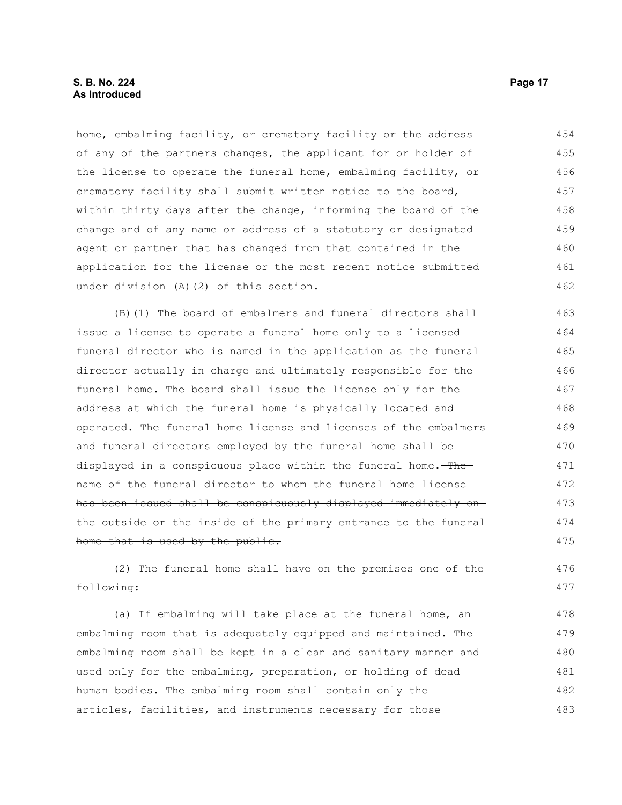home, embalming facility, or crematory facility or the address of any of the partners changes, the applicant for or holder of the license to operate the funeral home, embalming facility, or crematory facility shall submit written notice to the board, within thirty days after the change, informing the board of the change and of any name or address of a statutory or designated agent or partner that has changed from that contained in the application for the license or the most recent notice submitted under division (A)(2) of this section. 454 455 456 457 458 459 460 461 462

(B)(1) The board of embalmers and funeral directors shall issue a license to operate a funeral home only to a licensed funeral director who is named in the application as the funeral director actually in charge and ultimately responsible for the funeral home. The board shall issue the license only for the address at which the funeral home is physically located and operated. The funeral home license and licenses of the embalmers and funeral directors employed by the funeral home shall be displayed in a conspicuous place within the funeral home. The name of the funeral director to whom the funeral home license has been issued shall be conspicuously displayed immediately on the outside or the inside of the primary entrance to the funeral home that is used by the public. 463 464 465 466 467 468 469 470 471 472 473 474 475

(2) The funeral home shall have on the premises one of the following: 476 477

(a) If embalming will take place at the funeral home, an embalming room that is adequately equipped and maintained. The embalming room shall be kept in a clean and sanitary manner and used only for the embalming, preparation, or holding of dead human bodies. The embalming room shall contain only the articles, facilities, and instruments necessary for those 478 479 480 481 482 483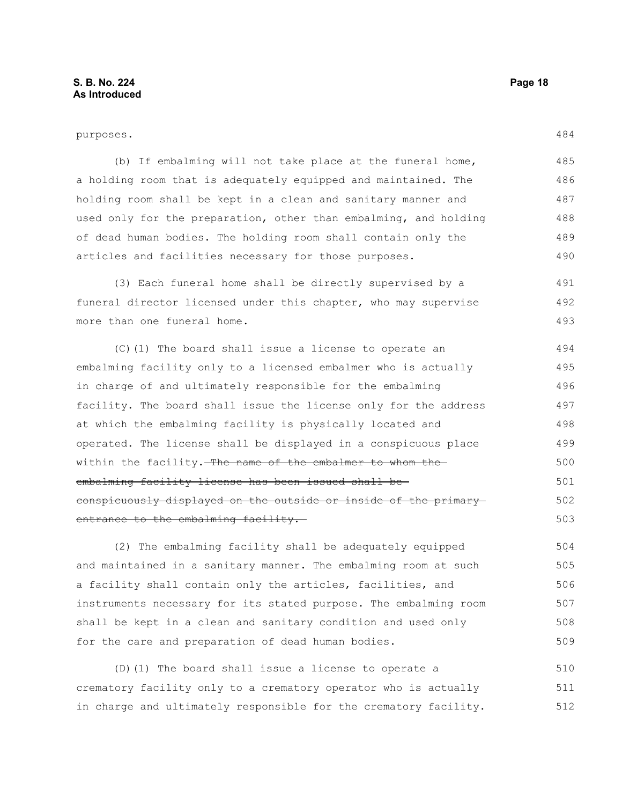#### purposes.

484

| (b) If embalming will not take place at the funeral home,        | 485 |
|------------------------------------------------------------------|-----|
| a holding room that is adequately equipped and maintained. The   | 486 |
| holding room shall be kept in a clean and sanitary manner and    | 487 |
| used only for the preparation, other than embalming, and holding | 488 |
| of dead human bodies. The holding room shall contain only the    | 489 |
| articles and facilities necessary for those purposes.            | 490 |

(3) Each funeral home shall be directly supervised by a funeral director licensed under this chapter, who may supervise more than one funeral home. 491 492 493

(C)(1) The board shall issue a license to operate an embalming facility only to a licensed embalmer who is actually in charge of and ultimately responsible for the embalming facility. The board shall issue the license only for the address at which the embalming facility is physically located and operated. The license shall be displayed in a conspicuous place within the facility. The name of the embalmer to whom the embalming facility license has been issued shall be conspicuously displayed on the outside or inside of the primary entrance to the embalming facility. 494 495 496 497 498 499 500 501 502 503

(2) The embalming facility shall be adequately equipped and maintained in a sanitary manner. The embalming room at such a facility shall contain only the articles, facilities, and instruments necessary for its stated purpose. The embalming room shall be kept in a clean and sanitary condition and used only for the care and preparation of dead human bodies. 504 505 506 507 508 509

(D)(1) The board shall issue a license to operate a crematory facility only to a crematory operator who is actually in charge and ultimately responsible for the crematory facility. 510 511 512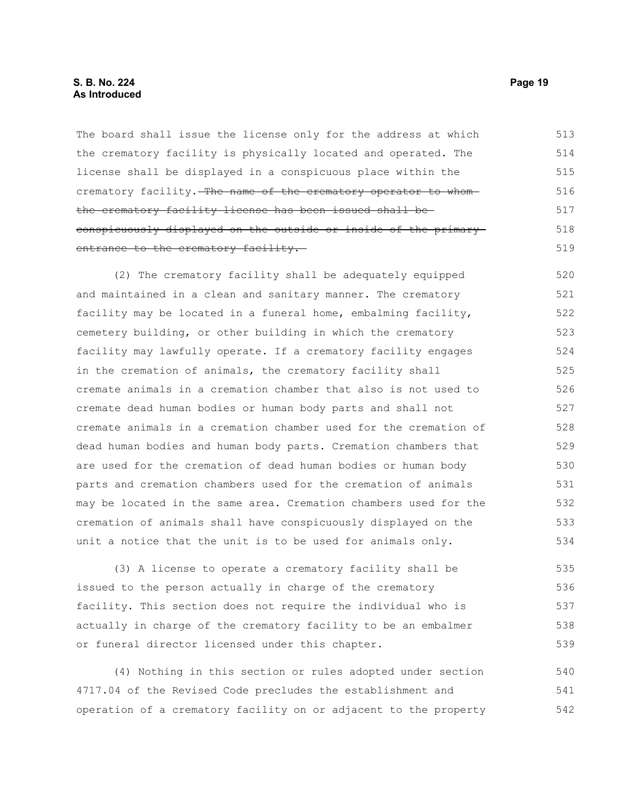The board shall issue the license only for the address at which the crematory facility is physically located and operated. The license shall be displayed in a conspicuous place within the crematory facility. The name of the crematory operator to whomthe crematory facility license has been issued shall be conspicuously displayed on the outside or inside of the primary entrance to the crematory facility. 513 514 515 516 517 518 519

(2) The crematory facility shall be adequately equipped and maintained in a clean and sanitary manner. The crematory facility may be located in a funeral home, embalming facility, cemetery building, or other building in which the crematory facility may lawfully operate. If a crematory facility engages in the cremation of animals, the crematory facility shall cremate animals in a cremation chamber that also is not used to cremate dead human bodies or human body parts and shall not cremate animals in a cremation chamber used for the cremation of dead human bodies and human body parts. Cremation chambers that are used for the cremation of dead human bodies or human body parts and cremation chambers used for the cremation of animals may be located in the same area. Cremation chambers used for the cremation of animals shall have conspicuously displayed on the unit a notice that the unit is to be used for animals only. 520 521 522 523 524 525 526 527 528 529 530 531 532 533 534

(3) A license to operate a crematory facility shall be issued to the person actually in charge of the crematory facility. This section does not require the individual who is actually in charge of the crematory facility to be an embalmer or funeral director licensed under this chapter. 535 536 537 538 539

(4) Nothing in this section or rules adopted under section 4717.04 of the Revised Code precludes the establishment and operation of a crematory facility on or adjacent to the property 540 541 542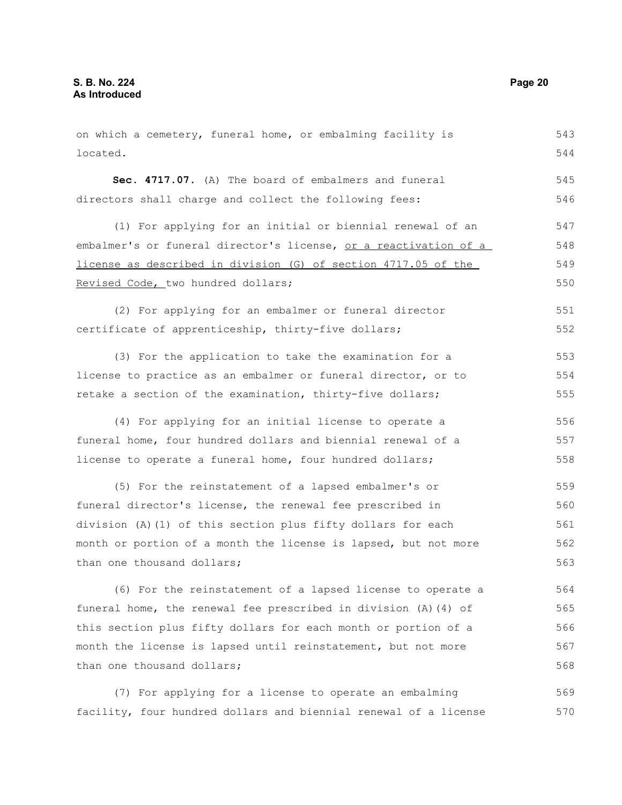on which a cemetery, funeral home, or embalming facility is located. **Sec. 4717.07.** (A) The board of embalmers and funeral directors shall charge and collect the following fees: (1) For applying for an initial or biennial renewal of an embalmer's or funeral director's license, or a reactivation of a license as described in division (G) of section 4717.05 of the Revised Code, two hundred dollars; (2) For applying for an embalmer or funeral director certificate of apprenticeship, thirty-five dollars; (3) For the application to take the examination for a license to practice as an embalmer or funeral director, or to retake a section of the examination, thirty-five dollars; (4) For applying for an initial license to operate a funeral home, four hundred dollars and biennial renewal of a license to operate a funeral home, four hundred dollars; (5) For the reinstatement of a lapsed embalmer's or funeral director's license, the renewal fee prescribed in division (A)(1) of this section plus fifty dollars for each month or portion of a month the license is lapsed, but not more than one thousand dollars; (6) For the reinstatement of a lapsed license to operate a funeral home, the renewal fee prescribed in division (A)(4) of this section plus fifty dollars for each month or portion of a month the license is lapsed until reinstatement, but not more than one thousand dollars; 543 544 545 546 547 548 549 550 551 552 553 554 555 556 557 558 559 560 561 562 563 564 565 566 567 568

(7) For applying for a license to operate an embalming facility, four hundred dollars and biennial renewal of a license 569 570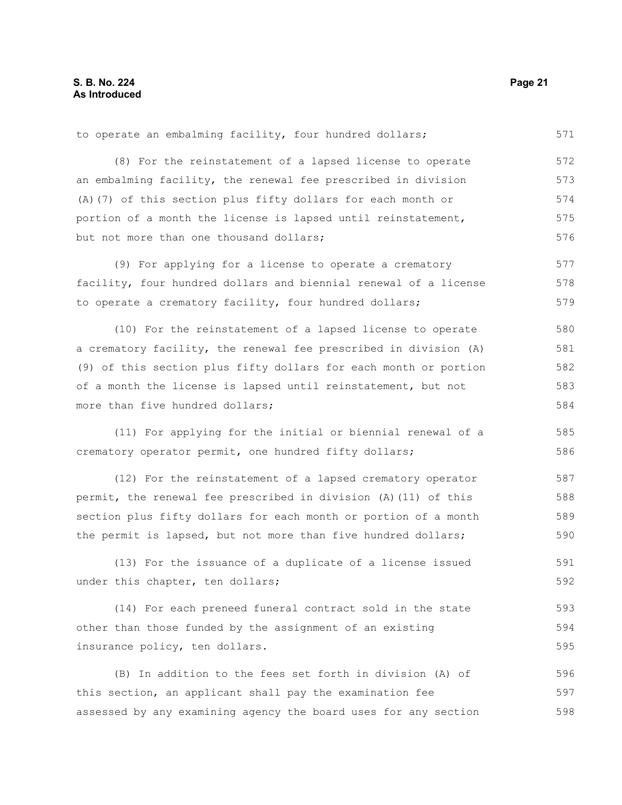to operate an embalming facility, four hundred dollars; (8) For the reinstatement of a lapsed license to operate an embalming facility, the renewal fee prescribed in division (A)(7) of this section plus fifty dollars for each month or portion of a month the license is lapsed until reinstatement, but not more than one thousand dollars; (9) For applying for a license to operate a crematory 572 573 574 575 576 577

facility, four hundred dollars and biennial renewal of a license to operate a crematory facility, four hundred dollars; 578 579

(10) For the reinstatement of a lapsed license to operate a crematory facility, the renewal fee prescribed in division (A) (9) of this section plus fifty dollars for each month or portion of a month the license is lapsed until reinstatement, but not more than five hundred dollars; 580 581 582 583 584

(11) For applying for the initial or biennial renewal of a crematory operator permit, one hundred fifty dollars; 585

(12) For the reinstatement of a lapsed crematory operator permit, the renewal fee prescribed in division (A)(11) of this section plus fifty dollars for each month or portion of a month the permit is lapsed, but not more than five hundred dollars; 587 588 589 590

(13) For the issuance of a duplicate of a license issued under this chapter, ten dollars; 591 592

(14) For each preneed funeral contract sold in the state other than those funded by the assignment of an existing insurance policy, ten dollars. 593 594 595

(B) In addition to the fees set forth in division (A) of this section, an applicant shall pay the examination fee assessed by any examining agency the board uses for any section 596 597 598

571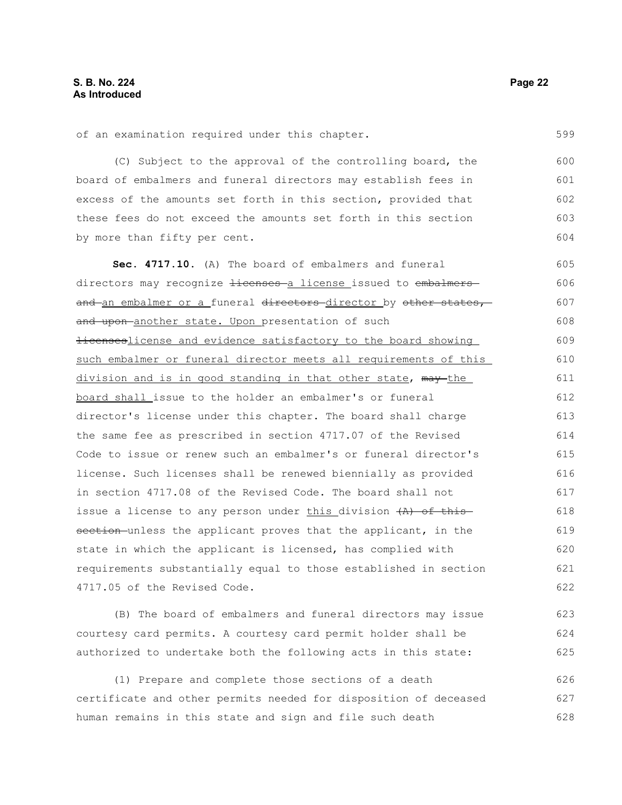(C) Subject to the approval of the controlling board, the board of embalmers and funeral directors may establish fees in excess of the amounts set forth in this section, provided that these fees do not exceed the amounts set forth in this section by more than fifty per cent. 600 601 602 603 604

**Sec. 4717.10.** (A) The board of embalmers and funeral directors may recognize Hicenses a license issued to embalmers and an embalmer or a funeral directors director by other states, and upon-another state. Upon presentation of such Hicenseslicense and evidence satisfactory to the board showing such embalmer or funeral director meets all requirements of this division and is in good standing in that other state, may the board shall issue to the holder an embalmer's or funeral director's license under this chapter. The board shall charge the same fee as prescribed in section 4717.07 of the Revised Code to issue or renew such an embalmer's or funeral director's license. Such licenses shall be renewed biennially as provided in section 4717.08 of the Revised Code. The board shall not issue a license to any person under this division  $(A)$  of this section unless the applicant proves that the applicant, in the state in which the applicant is licensed, has complied with requirements substantially equal to those established in section 4717.05 of the Revised Code. 605 606 607 608 609 610 611 612 613 614 615 616 617 618 619 620 621 622

(B) The board of embalmers and funeral directors may issue courtesy card permits. A courtesy card permit holder shall be authorized to undertake both the following acts in this state:

(1) Prepare and complete those sections of a death certificate and other permits needed for disposition of deceased human remains in this state and sign and file such death 626 627 628

599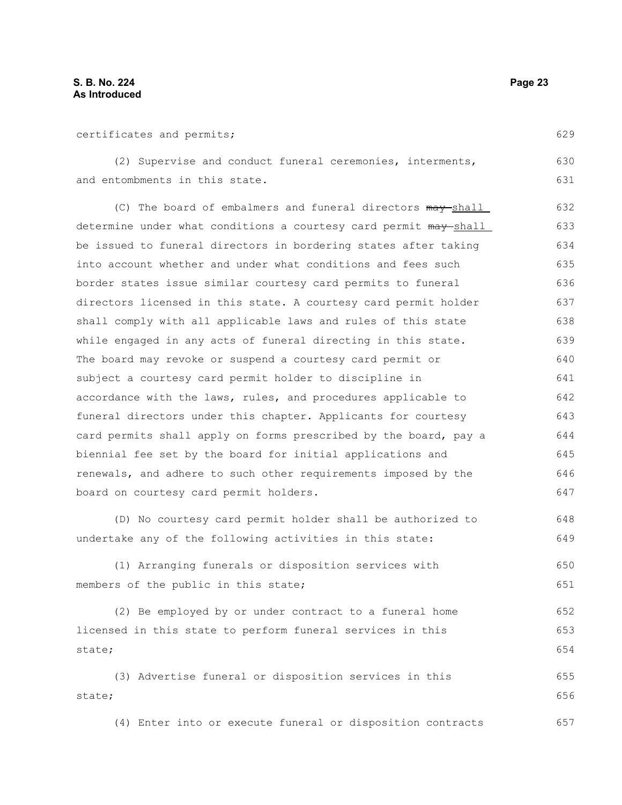| ıae<br>2<br>. . |
|-----------------|
|-----------------|

629

650 651

| certificates and permits; |  |  |
|---------------------------|--|--|
|---------------------------|--|--|

(2) Supervise and conduct funeral ceremonies, interments, and entombments in this state. 630 631

(C) The board of embalmers and funeral directors  $\frac{may-shell}{}$ determine under what conditions a courtesy card permit  $m$ ay shall be issued to funeral directors in bordering states after taking into account whether and under what conditions and fees such border states issue similar courtesy card permits to funeral directors licensed in this state. A courtesy card permit holder shall comply with all applicable laws and rules of this state while engaged in any acts of funeral directing in this state. The board may revoke or suspend a courtesy card permit or subject a courtesy card permit holder to discipline in accordance with the laws, rules, and procedures applicable to funeral directors under this chapter. Applicants for courtesy card permits shall apply on forms prescribed by the board, pay a biennial fee set by the board for initial applications and renewals, and adhere to such other requirements imposed by the board on courtesy card permit holders. 632 633 634 635 636 637 638 639 640 641 642 643 644 645 646 647

(D) No courtesy card permit holder shall be authorized to undertake any of the following activities in this state: 648 649

(1) Arranging funerals or disposition services with members of the public in this state;

(2) Be employed by or under contract to a funeral home licensed in this state to perform funeral services in this state; 652 653 654

(3) Advertise funeral or disposition services in this state; 655 656

(4) Enter into or execute funeral or disposition contracts 657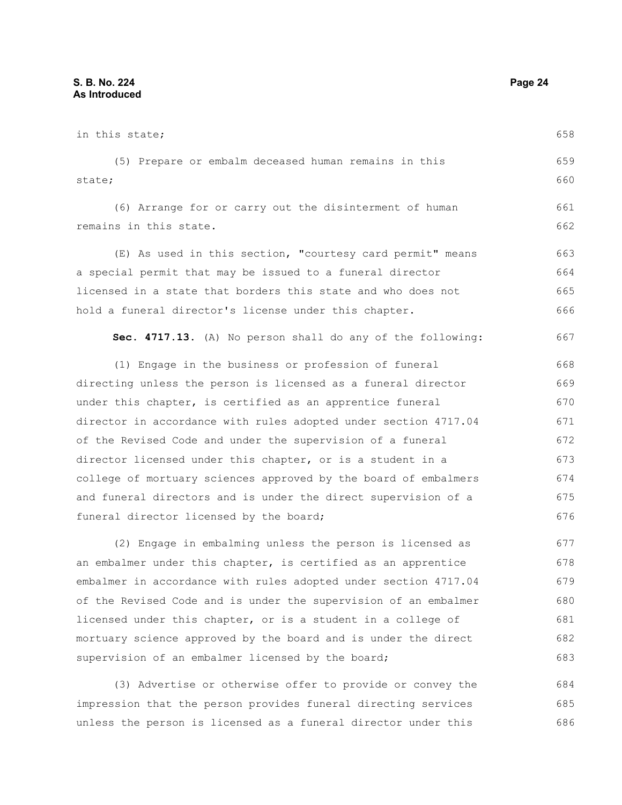in this state; (5) Prepare or embalm deceased human remains in this state; (6) Arrange for or carry out the disinterment of human remains in this state. (E) As used in this section, "courtesy card permit" means a special permit that may be issued to a funeral director licensed in a state that borders this state and who does not hold a funeral director's license under this chapter. **Sec. 4717.13.** (A) No person shall do any of the following: (1) Engage in the business or profession of funeral directing unless the person is licensed as a funeral director under this chapter, is certified as an apprentice funeral director in accordance with rules adopted under section 4717.04 of the Revised Code and under the supervision of a funeral director licensed under this chapter, or is a student in a college of mortuary sciences approved by the board of embalmers and funeral directors and is under the direct supervision of a funeral director licensed by the board; (2) Engage in embalming unless the person is licensed as an embalmer under this chapter, is certified as an apprentice embalmer in accordance with rules adopted under section 4717.04 of the Revised Code and is under the supervision of an embalmer licensed under this chapter, or is a student in a college of mortuary science approved by the board and is under the direct supervision of an embalmer licensed by the board; 658 659 660 661 662 663 664 665 666 667 668 669 670 671 672 673 674 675 676 677 678 679 680 681 682 683

(3) Advertise or otherwise offer to provide or convey the impression that the person provides funeral directing services unless the person is licensed as a funeral director under this 684 685 686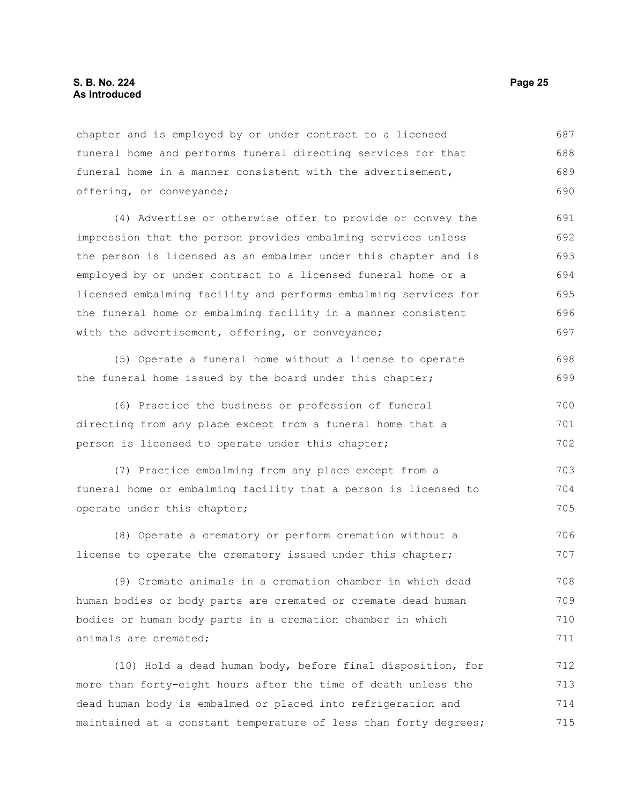chapter and is employed by or under contract to a licensed funeral home and performs funeral directing services for that funeral home in a manner consistent with the advertisement, offering, or conveyance; 687 688 689 690

(4) Advertise or otherwise offer to provide or convey the impression that the person provides embalming services unless the person is licensed as an embalmer under this chapter and is employed by or under contract to a licensed funeral home or a licensed embalming facility and performs embalming services for the funeral home or embalming facility in a manner consistent with the advertisement, offering, or conveyance; 691 692 693 694 695 696 697

(5) Operate a funeral home without a license to operate the funeral home issued by the board under this chapter; 698 699

(6) Practice the business or profession of funeral directing from any place except from a funeral home that a person is licensed to operate under this chapter; 700 701 702

(7) Practice embalming from any place except from a funeral home or embalming facility that a person is licensed to operate under this chapter; 703 704 705

(8) Operate a crematory or perform cremation without a license to operate the crematory issued under this chapter; 706 707

(9) Cremate animals in a cremation chamber in which dead human bodies or body parts are cremated or cremate dead human bodies or human body parts in a cremation chamber in which animals are cremated; 708 709 710 711

(10) Hold a dead human body, before final disposition, for more than forty-eight hours after the time of death unless the dead human body is embalmed or placed into refrigeration and maintained at a constant temperature of less than forty degrees; 712 713 714 715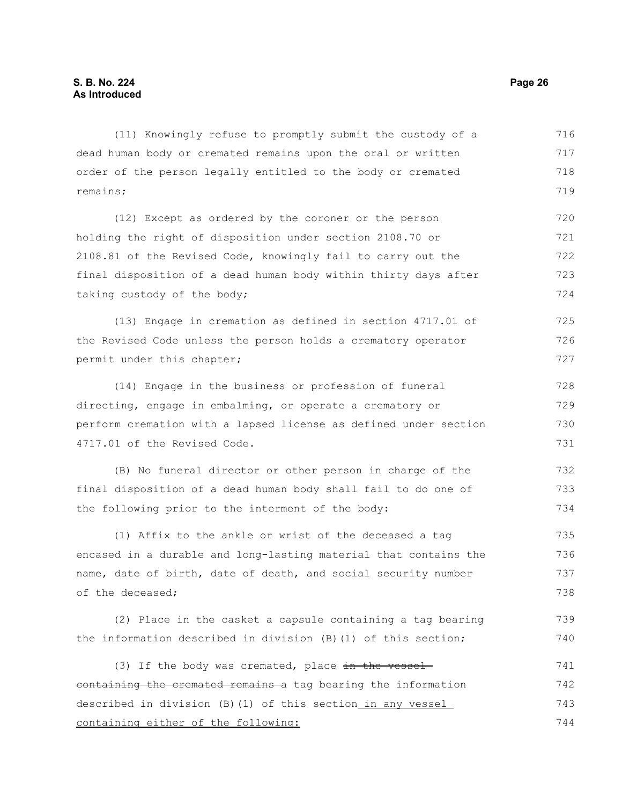(11) Knowingly refuse to promptly submit the custody of a dead human body or cremated remains upon the oral or written order of the person legally entitled to the body or cremated remains; (12) Except as ordered by the coroner or the person holding the right of disposition under section 2108.70 or 2108.81 of the Revised Code, knowingly fail to carry out the final disposition of a dead human body within thirty days after taking custody of the body; (13) Engage in cremation as defined in section 4717.01 of the Revised Code unless the person holds a crematory operator permit under this chapter; (14) Engage in the business or profession of funeral directing, engage in embalming, or operate a crematory or perform cremation with a lapsed license as defined under section 4717.01 of the Revised Code. 716 717 718 719 720 721 722 723 724 725 726 727 728 729 730 731

(B) No funeral director or other person in charge of the final disposition of a dead human body shall fail to do one of the following prior to the interment of the body: 732 733 734

(1) Affix to the ankle or wrist of the deceased a tag encased in a durable and long-lasting material that contains the name, date of birth, date of death, and social security number of the deceased; 735 736 737 738

(2) Place in the casket a capsule containing a tag bearing the information described in division (B)(1) of this section; 739 740

(3) If the body was cremated, place  $\frac{1}{2}$  the vesselcontaining the cremated remains a tag bearing the information described in division (B)(1) of this section in any vessel containing either of the following: 741 742 743 744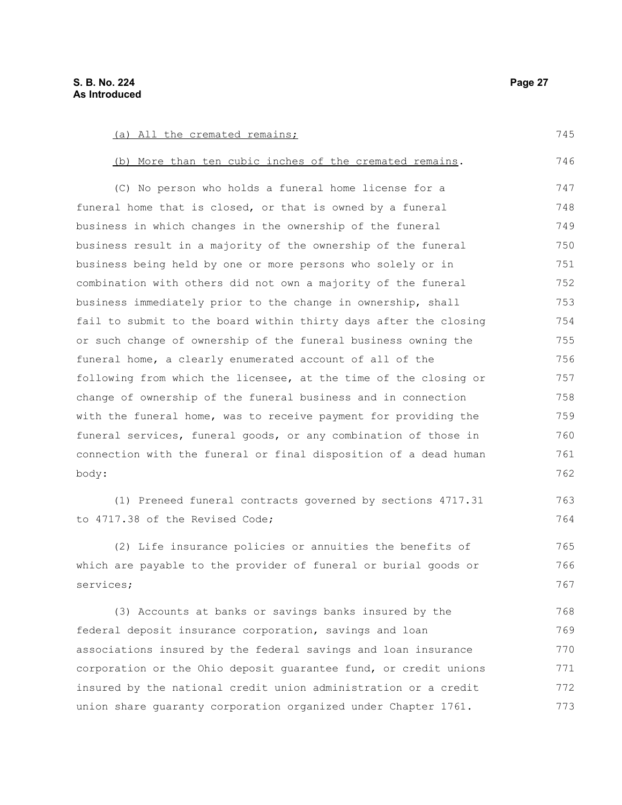(a) All the cremated remains; (b) More than ten cubic inches of the cremated remains. (C) No person who holds a funeral home license for a funeral home that is closed, or that is owned by a funeral business in which changes in the ownership of the funeral business result in a majority of the ownership of the funeral business being held by one or more persons who solely or in combination with others did not own a majority of the funeral business immediately prior to the change in ownership, shall fail to submit to the board within thirty days after the closing or such change of ownership of the funeral business owning the funeral home, a clearly enumerated account of all of the following from which the licensee, at the time of the closing or change of ownership of the funeral business and in connection with the funeral home, was to receive payment for providing the funeral services, funeral goods, or any combination of those in connection with the funeral or final disposition of a dead human body: (1) Preneed funeral contracts governed by sections 4717.31 to 4717.38 of the Revised Code; (2) Life insurance policies or annuities the benefits of which are payable to the provider of funeral or burial goods or services; (3) Accounts at banks or savings banks insured by the federal deposit insurance corporation, savings and loan associations insured by the federal savings and loan insurance corporation or the Ohio deposit guarantee fund, or credit unions insured by the national credit union administration or a credit 745 746 747 748 749 750 751 752 753 754 755 756 757 758 759 760 761 762 763 764 765 766 767 768 769 770 771 772

union share guaranty corporation organized under Chapter 1761.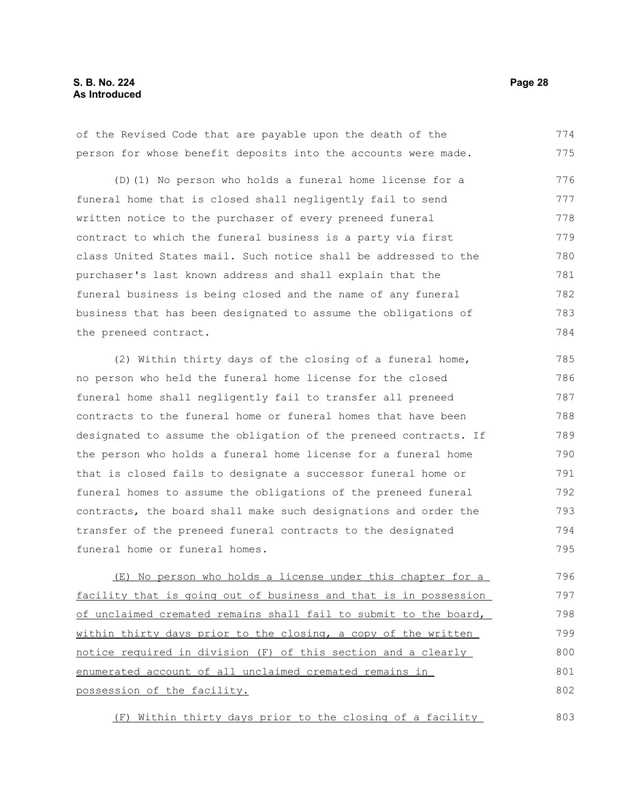### **S. B. No. 224 Page 28 As Introduced**

of the Revised Code that are payable upon the death of the person for whose benefit deposits into the accounts were made. 774 775

(D)(1) No person who holds a funeral home license for a funeral home that is closed shall negligently fail to send written notice to the purchaser of every preneed funeral contract to which the funeral business is a party via first class United States mail. Such notice shall be addressed to the purchaser's last known address and shall explain that the funeral business is being closed and the name of any funeral business that has been designated to assume the obligations of the preneed contract. 776 777 778 779 780 781 782 783 784

(2) Within thirty days of the closing of a funeral home, no person who held the funeral home license for the closed funeral home shall negligently fail to transfer all preneed contracts to the funeral home or funeral homes that have been designated to assume the obligation of the preneed contracts. If the person who holds a funeral home license for a funeral home that is closed fails to designate a successor funeral home or funeral homes to assume the obligations of the preneed funeral contracts, the board shall make such designations and order the transfer of the preneed funeral contracts to the designated funeral home or funeral homes. 785 786 787 788 789 790 791 792 793 794 795

(E) No person who holds a license under this chapter for a facility that is going out of business and that is in possession of unclaimed cremated remains shall fail to submit to the board, within thirty days prior to the closing, a copy of the written notice required in division (F) of this section and a clearly enumerated account of all unclaimed cremated remains in possession of the facility. 796 797 798 799 800 801 802

(F) Within thirty days prior to the closing of a facility 803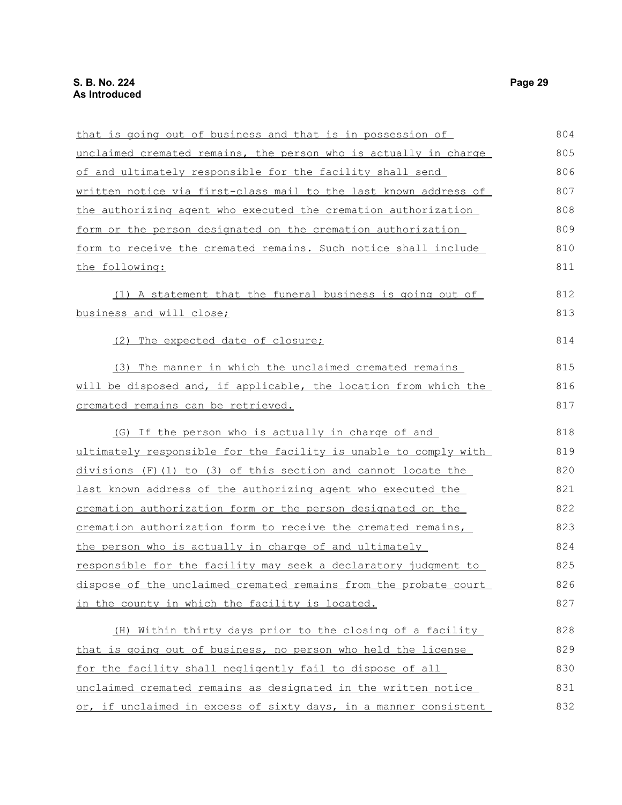| that is going out of business and that is in possession of          | 804 |
|---------------------------------------------------------------------|-----|
| unclaimed cremated remains, the person who is actually in charge    | 805 |
| of and ultimately responsible for the facility shall send           | 806 |
| written notice via first-class mail to the last known address of    | 807 |
| the authorizing agent who executed the cremation authorization      | 808 |
| form or the person designated on the cremation authorization        | 809 |
| form to receive the cremated remains. Such notice shall include     | 810 |
| the following:                                                      | 811 |
| (1) A statement that the funeral business is going out of           | 812 |
| business and will close;                                            | 813 |
| (2) The expected date of closure;                                   | 814 |
| (3) The manner in which the unclaimed cremated remains              | 815 |
| will be disposed and, if applicable, the location from which the    | 816 |
| cremated remains can be retrieved.                                  | 817 |
| (G) If the person who is actually in charge of and                  | 818 |
| ultimately responsible for the facility is unable to comply with    | 819 |
| divisions (F)(1) to (3) of this section and cannot locate the       | 820 |
| last known address of the authorizing agent who executed the        | 821 |
| <u>cremation authorization form or the person designated on the</u> | 822 |
| cremation authorization form to receive the cremated remains,       | 823 |
| the person who is actually in charge of and ultimately              | 824 |
| responsible for the facility may seek a declaratory judgment to     | 825 |
| dispose of the unclaimed cremated remains from the probate court    | 826 |
| in the county in which the facility is located.                     | 827 |
| (H) Within thirty days prior to the closing of a facility           | 828 |
| that is going out of business, no person who held the license       | 829 |
| for the facility shall negligently fail to dispose of all           | 830 |
| unclaimed cremated remains as designated in the written notice      | 831 |
| or, if unclaimed in excess of sixty days, in a manner consistent    | 832 |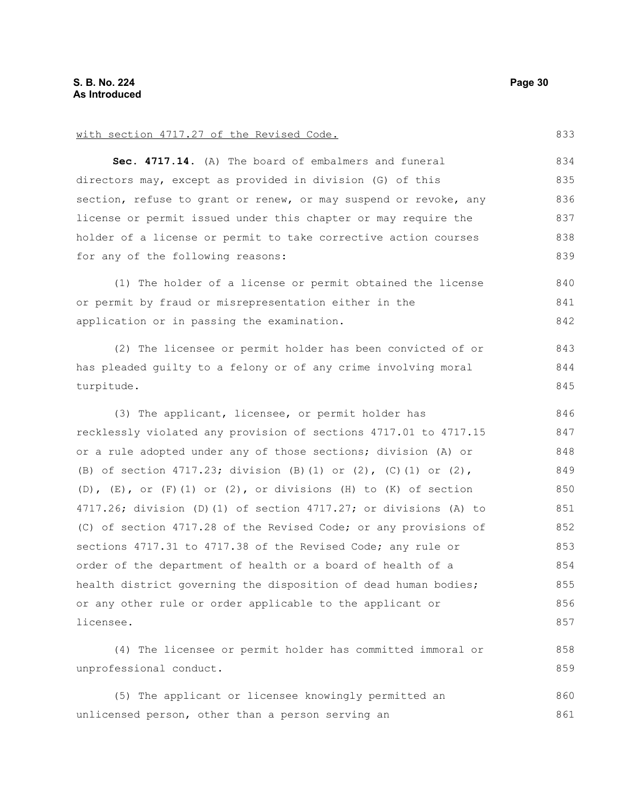with section 4717.27 of the Revised Code.

**Sec. 4717.14.** (A) The board of embalmers and funeral directors may, except as provided in division (G) of this section, refuse to grant or renew, or may suspend or revoke, any license or permit issued under this chapter or may require the holder of a license or permit to take corrective action courses for any of the following reasons: (1) The holder of a license or permit obtained the license or permit by fraud or misrepresentation either in the application or in passing the examination. (2) The licensee or permit holder has been convicted of or has pleaded guilty to a felony or of any crime involving moral turpitude. (3) The applicant, licensee, or permit holder has recklessly violated any provision of sections 4717.01 to 4717.15 or a rule adopted under any of those sections; division (A) or (B) of section 4717.23; division (B)(1) or (2), (C)(1) or (2), (D),  $(E)$ , or  $(F)$  (1) or (2), or divisions (H) to (K) of section 4717.26; division (D)(1) of section 4717.27; or divisions (A) to (C) of section 4717.28 of the Revised Code; or any provisions of sections 4717.31 to 4717.38 of the Revised Code; any rule or order of the department of health or a board of health of a health district governing the disposition of dead human bodies; or any other rule or order applicable to the applicant or licensee. (4) The licensee or permit holder has committed immoral or unprofessional conduct. 834 835 836 837 838 839 840 841 842 843 844 845 846 847 848 849 850 851 852 853 854 855 856 857 858 859

(5) The applicant or licensee knowingly permitted an unlicensed person, other than a person serving an 860 861

- 
- 
- 
-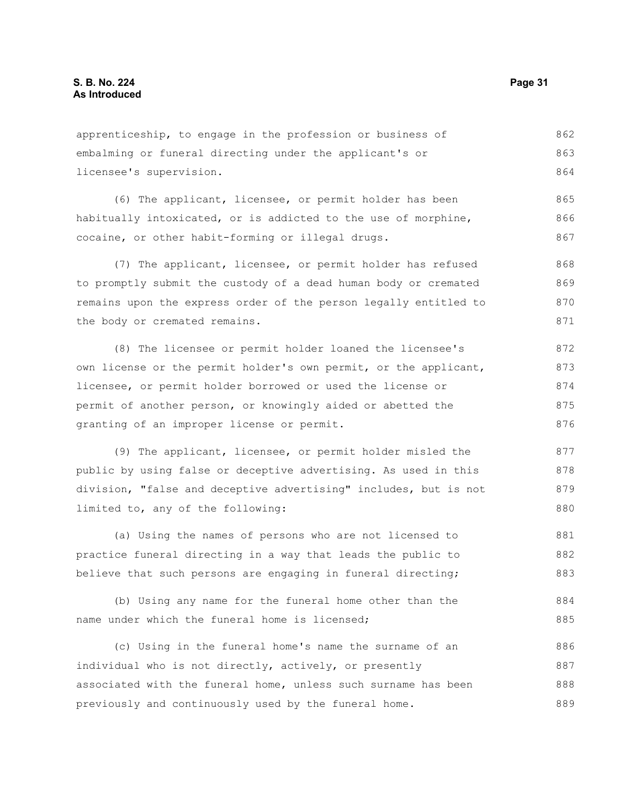apprenticeship, to engage in the profession or business of embalming or funeral directing under the applicant's or licensee's supervision. 862 863 864

(6) The applicant, licensee, or permit holder has been habitually intoxicated, or is addicted to the use of morphine, cocaine, or other habit-forming or illegal drugs. 865 866 867

(7) The applicant, licensee, or permit holder has refused to promptly submit the custody of a dead human body or cremated remains upon the express order of the person legally entitled to the body or cremated remains. 868 869 870 871

(8) The licensee or permit holder loaned the licensee's own license or the permit holder's own permit, or the applicant, licensee, or permit holder borrowed or used the license or permit of another person, or knowingly aided or abetted the granting of an improper license or permit. 872 873 874 875 876

(9) The applicant, licensee, or permit holder misled the public by using false or deceptive advertising. As used in this division, "false and deceptive advertising" includes, but is not limited to, any of the following: 877 878 879 880

(a) Using the names of persons who are not licensed to practice funeral directing in a way that leads the public to believe that such persons are engaging in funeral directing; 881 882 883

(b) Using any name for the funeral home other than the name under which the funeral home is licensed; 884 885

(c) Using in the funeral home's name the surname of an individual who is not directly, actively, or presently associated with the funeral home, unless such surname has been previously and continuously used by the funeral home. 886 887 888 889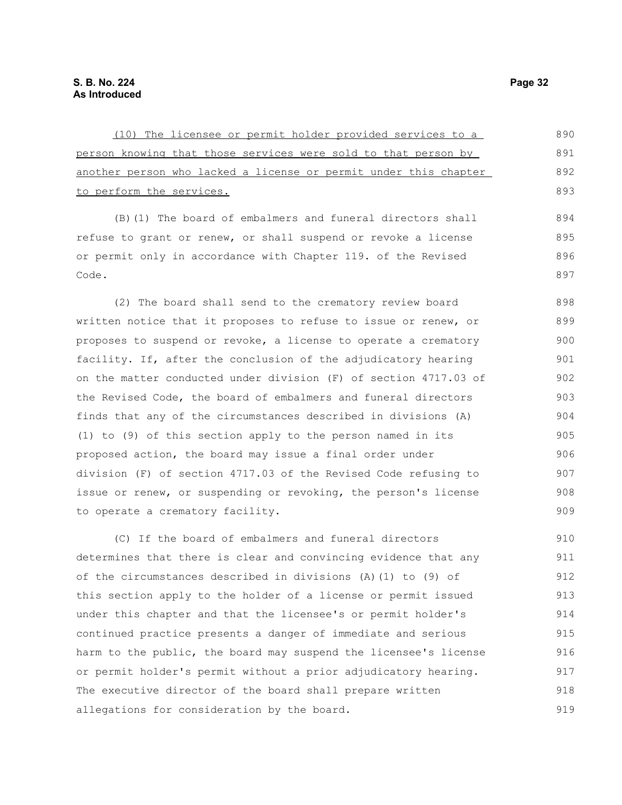| (10) The licensee or permit holder provided services to a        | 890 |
|------------------------------------------------------------------|-----|
| person knowing that those services were sold to that person by   | 891 |
| another person who lacked a license or permit under this chapter | 892 |
| to perform the services.                                         | 893 |
| (B) (1) The board of embalmers and funeral directors shall       | 894 |
| refuse to grant or renew, or shall suspend or revoke a license   | 895 |
| or permit only in accordance with Chapter 119. of the Revised    | 896 |
| Code.                                                            | 897 |
| (2) The board shall send to the crematory review board           | 898 |
| written notice that it proposes to refuse to issue or renew, or  | 899 |
| proposes to suspend or revoke, a license to operate a crematory  | 900 |
| facility. If, after the conclusion of the adjudicatory hearing   | 901 |
| on the matter conducted under division (F) of section 4717.03 of | 902 |
| the Revised Code, the board of embalmers and funeral directors   | 903 |
| finds that any of the circumstances described in divisions (A)   | 904 |
| (1) to (9) of this section apply to the person named in its      | 905 |
| proposed action, the board may issue a final order under         | 906 |
| division (F) of section 4717.03 of the Revised Code refusing to  | 907 |
| issue or renew, or suspending or revoking, the person's license  | 908 |
| to operate a crematory facility.                                 | 909 |
| (C) If the board of embalmers and funeral directors              | 910 |
| determines that there is clear and convincing evidence that any  | 911 |
| of the circumstances described in divisions (A)(1) to (9) of     | 912 |
| this section apply to the holder of a license or permit issued   | 913 |
| under this chapter and that the licensee's or permit holder's    | 914 |
| continued practice presents a danger of immediate and serious    | 915 |
| harm to the public, the board may suspend the licensee's license | 916 |
| or permit holder's permit without a prior adjudicatory hearing.  | 917 |

The executive director of the board shall prepare written

allegations for consideration by the board.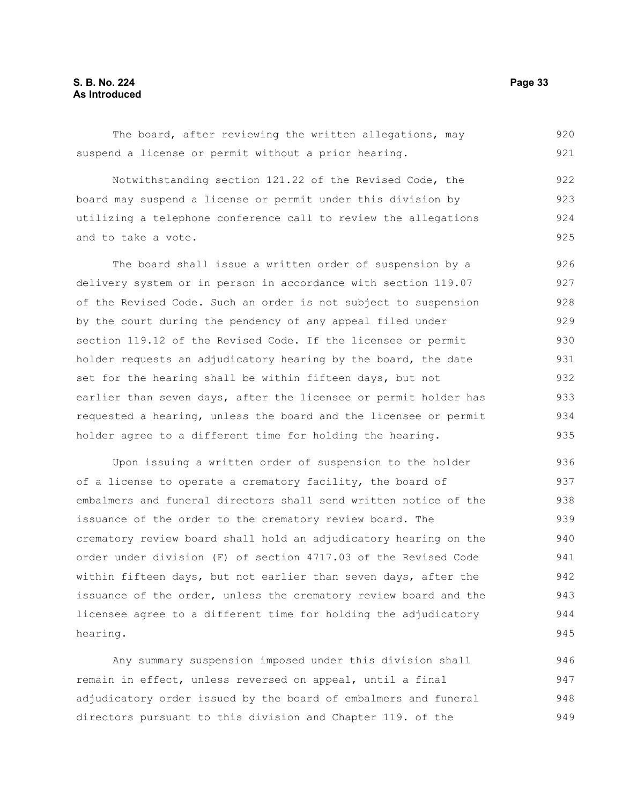The board, after reviewing the written allegations, may suspend a license or permit without a prior hearing. 920 921

Notwithstanding section 121.22 of the Revised Code, the board may suspend a license or permit under this division by utilizing a telephone conference call to review the allegations and to take a vote. 922 923 924 925

The board shall issue a written order of suspension by a delivery system or in person in accordance with section 119.07 of the Revised Code. Such an order is not subject to suspension by the court during the pendency of any appeal filed under section 119.12 of the Revised Code. If the licensee or permit holder requests an adjudicatory hearing by the board, the date set for the hearing shall be within fifteen days, but not earlier than seven days, after the licensee or permit holder has requested a hearing, unless the board and the licensee or permit holder agree to a different time for holding the hearing. 926 927 928 929 930 931 932 933 934 935

Upon issuing a written order of suspension to the holder of a license to operate a crematory facility, the board of embalmers and funeral directors shall send written notice of the issuance of the order to the crematory review board. The crematory review board shall hold an adjudicatory hearing on the order under division (F) of section 4717.03 of the Revised Code within fifteen days, but not earlier than seven days, after the issuance of the order, unless the crematory review board and the licensee agree to a different time for holding the adjudicatory hearing. 936 937 938 939 940 941 942 943 944 945

Any summary suspension imposed under this division shall remain in effect, unless reversed on appeal, until a final adjudicatory order issued by the board of embalmers and funeral directors pursuant to this division and Chapter 119. of the 946 947 948 949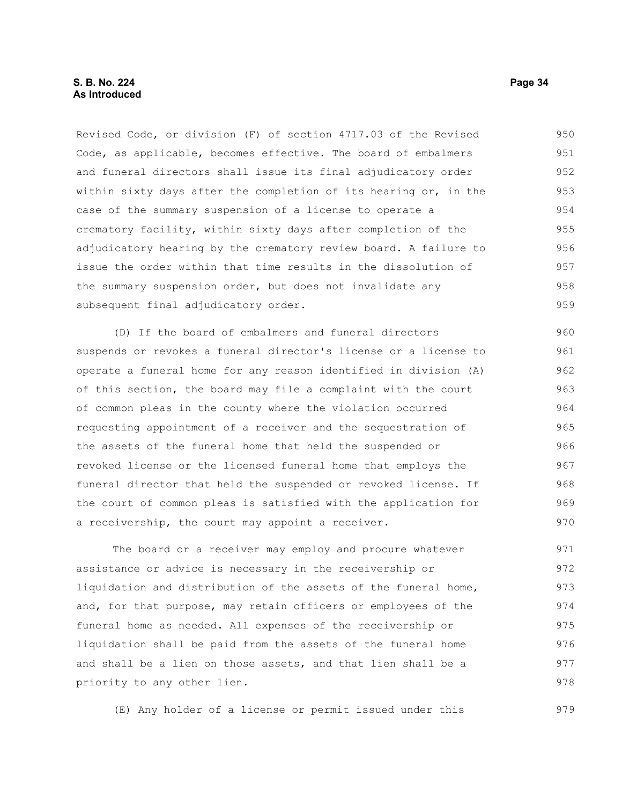Revised Code, or division (F) of section 4717.03 of the Revised Code, as applicable, becomes effective. The board of embalmers and funeral directors shall issue its final adjudicatory order within sixty days after the completion of its hearing or, in the case of the summary suspension of a license to operate a crematory facility, within sixty days after completion of the adjudicatory hearing by the crematory review board. A failure to issue the order within that time results in the dissolution of the summary suspension order, but does not invalidate any subsequent final adjudicatory order. 950 951 952 953 954 955 956 957 958 959

(D) If the board of embalmers and funeral directors suspends or revokes a funeral director's license or a license to operate a funeral home for any reason identified in division (A) of this section, the board may file a complaint with the court of common pleas in the county where the violation occurred requesting appointment of a receiver and the sequestration of the assets of the funeral home that held the suspended or revoked license or the licensed funeral home that employs the funeral director that held the suspended or revoked license. If the court of common pleas is satisfied with the application for a receivership, the court may appoint a receiver. 960 961 962 963 964 965 966 967 968 969 970

The board or a receiver may employ and procure whatever assistance or advice is necessary in the receivership or liquidation and distribution of the assets of the funeral home, and, for that purpose, may retain officers or employees of the funeral home as needed. All expenses of the receivership or liquidation shall be paid from the assets of the funeral home and shall be a lien on those assets, and that lien shall be a priority to any other lien. 971 972 973 974 975 976 977 978

(E) Any holder of a license or permit issued under this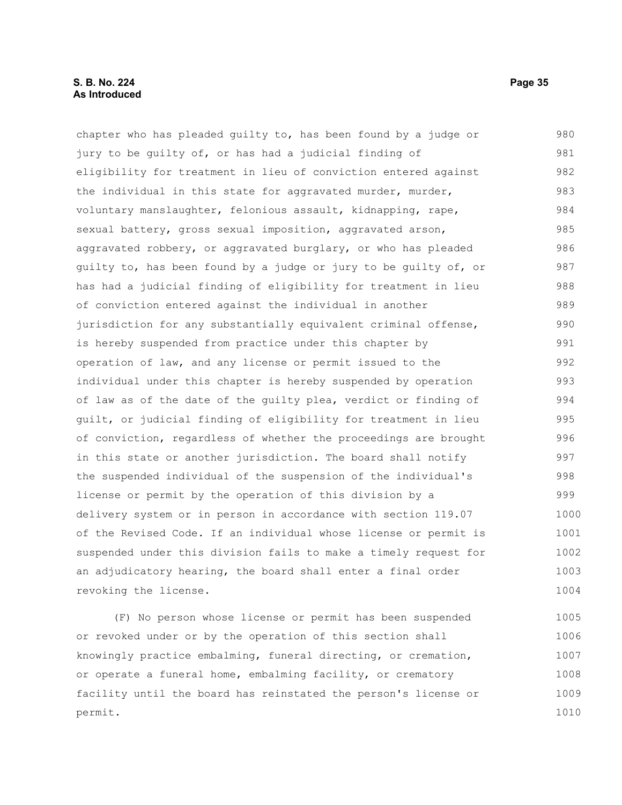### **S. B. No. 224 Page 35 As Introduced**

revoking the license.

chapter who has pleaded guilty to, has been found by a judge or jury to be guilty of, or has had a judicial finding of eligibility for treatment in lieu of conviction entered against the individual in this state for aggravated murder, murder, voluntary manslaughter, felonious assault, kidnapping, rape, sexual battery, gross sexual imposition, aggravated arson, aggravated robbery, or aggravated burglary, or who has pleaded guilty to, has been found by a judge or jury to be guilty of, or has had a judicial finding of eligibility for treatment in lieu of conviction entered against the individual in another jurisdiction for any substantially equivalent criminal offense, is hereby suspended from practice under this chapter by operation of law, and any license or permit issued to the individual under this chapter is hereby suspended by operation of law as of the date of the guilty plea, verdict or finding of guilt, or judicial finding of eligibility for treatment in lieu of conviction, regardless of whether the proceedings are brought in this state or another jurisdiction. The board shall notify the suspended individual of the suspension of the individual's license or permit by the operation of this division by a delivery system or in person in accordance with section 119.07 of the Revised Code. If an individual whose license or permit is suspended under this division fails to make a timely request for an adjudicatory hearing, the board shall enter a final order 980 981 982 983 984 985 986 987 988 989 990 991 992 993 994 995 996 997 998 999 1000 1001 1002 1003

(F) No person whose license or permit has been suspended or revoked under or by the operation of this section shall knowingly practice embalming, funeral directing, or cremation, or operate a funeral home, embalming facility, or crematory facility until the board has reinstated the person's license or permit. 1005 1006 1007 1008 1009 1010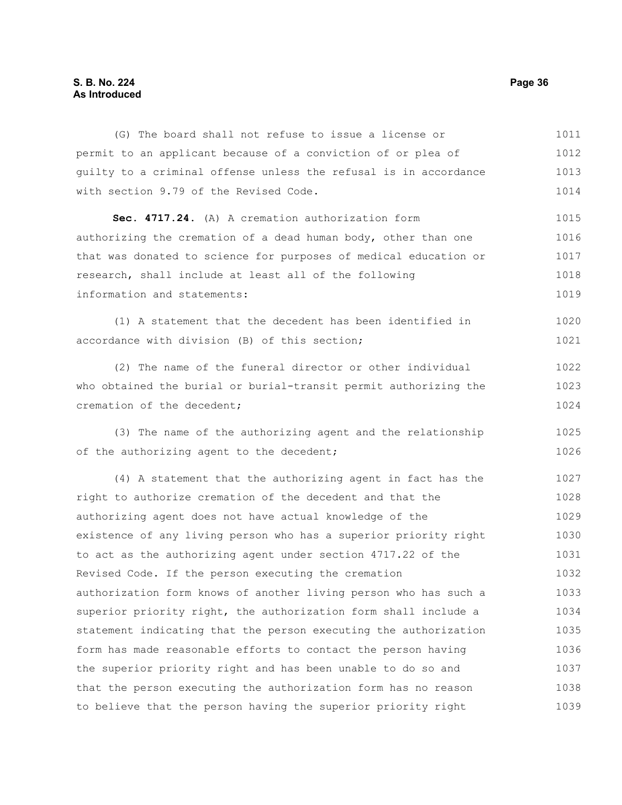### **S. B. No. 224 Page 36 As Introduced**

(G) The board shall not refuse to issue a license or permit to an applicant because of a conviction of or plea of guilty to a criminal offense unless the refusal is in accordance with section 9.79 of the Revised Code. **Sec. 4717.24.** (A) A cremation authorization form authorizing the cremation of a dead human body, other than one that was donated to science for purposes of medical education or research, shall include at least all of the following information and statements: (1) A statement that the decedent has been identified in accordance with division (B) of this section; (2) The name of the funeral director or other individual who obtained the burial or burial-transit permit authorizing the cremation of the decedent; (3) The name of the authorizing agent and the relationship of the authorizing agent to the decedent; (4) A statement that the authorizing agent in fact has the right to authorize cremation of the decedent and that the authorizing agent does not have actual knowledge of the existence of any living person who has a superior priority right to act as the authorizing agent under section 4717.22 of the Revised Code. If the person executing the cremation authorization form knows of another living person who has such a superior priority right, the authorization form shall include a statement indicating that the person executing the authorization form has made reasonable efforts to contact the person having the superior priority right and has been unable to do so and that the person executing the authorization form has no reason to believe that the person having the superior priority right 1011 1012 1013 1014 1015 1016 1017 1018 1019 1020 1021 1022 1023 1024 1025 1026 1027 1028 1029 1030 1031 1032 1033 1034 1035 1036 1037 1038 1039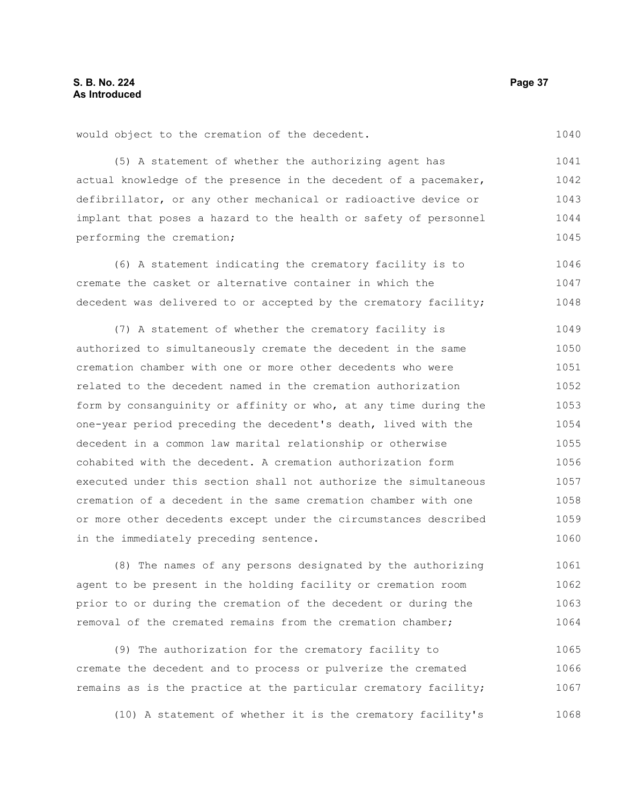(5) A statement of whether the authorizing agent has actual knowledge of the presence in the decedent of a pacemaker, defibrillator, or any other mechanical or radioactive device or implant that poses a hazard to the health or safety of personnel performing the cremation; 1041 1042 1043 1044 1045

(6) A statement indicating the crematory facility is to cremate the casket or alternative container in which the decedent was delivered to or accepted by the crematory facility; 1046 1047 1048

(7) A statement of whether the crematory facility is authorized to simultaneously cremate the decedent in the same cremation chamber with one or more other decedents who were related to the decedent named in the cremation authorization form by consanguinity or affinity or who, at any time during the one-year period preceding the decedent's death, lived with the decedent in a common law marital relationship or otherwise cohabited with the decedent. A cremation authorization form executed under this section shall not authorize the simultaneous cremation of a decedent in the same cremation chamber with one or more other decedents except under the circumstances described in the immediately preceding sentence. 1049 1050 1051 1052 1053 1054 1055 1056 1057 1058 1059 1060

(8) The names of any persons designated by the authorizing agent to be present in the holding facility or cremation room prior to or during the cremation of the decedent or during the removal of the cremated remains from the cremation chamber; 1061 1062 1063 1064

(9) The authorization for the crematory facility to cremate the decedent and to process or pulverize the cremated remains as is the practice at the particular crematory facility; 1065 1066 1067

(10) A statement of whether it is the crematory facility's 1068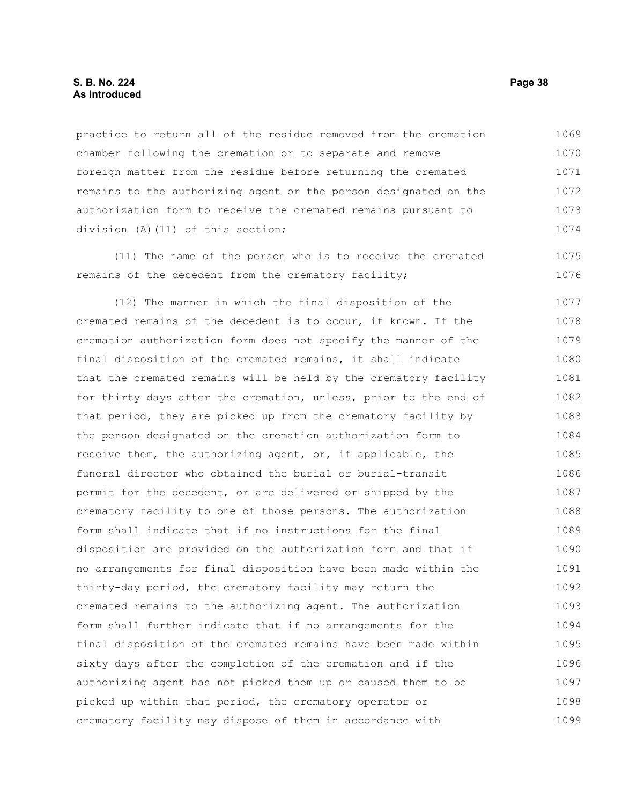#### **S. B. No. 224 Page 38 As Introduced**

practice to return all of the residue removed from the cremation chamber following the cremation or to separate and remove foreign matter from the residue before returning the cremated remains to the authorizing agent or the person designated on the authorization form to receive the cremated remains pursuant to division (A)(11) of this section; 1069 1070 1071 1072 1073 1074

(11) The name of the person who is to receive the cremated remains of the decedent from the crematory facility;

(12) The manner in which the final disposition of the cremated remains of the decedent is to occur, if known. If the cremation authorization form does not specify the manner of the final disposition of the cremated remains, it shall indicate that the cremated remains will be held by the crematory facility for thirty days after the cremation, unless, prior to the end of that period, they are picked up from the crematory facility by the person designated on the cremation authorization form to receive them, the authorizing agent, or, if applicable, the funeral director who obtained the burial or burial-transit permit for the decedent, or are delivered or shipped by the crematory facility to one of those persons. The authorization form shall indicate that if no instructions for the final disposition are provided on the authorization form and that if no arrangements for final disposition have been made within the thirty-day period, the crematory facility may return the cremated remains to the authorizing agent. The authorization form shall further indicate that if no arrangements for the final disposition of the cremated remains have been made within sixty days after the completion of the cremation and if the authorizing agent has not picked them up or caused them to be picked up within that period, the crematory operator or crematory facility may dispose of them in accordance with 1077 1078 1079 1080 1081 1082 1083 1084 1085 1086 1087 1088 1089 1090 1091 1092 1093 1094 1095 1096 1097 1098 1099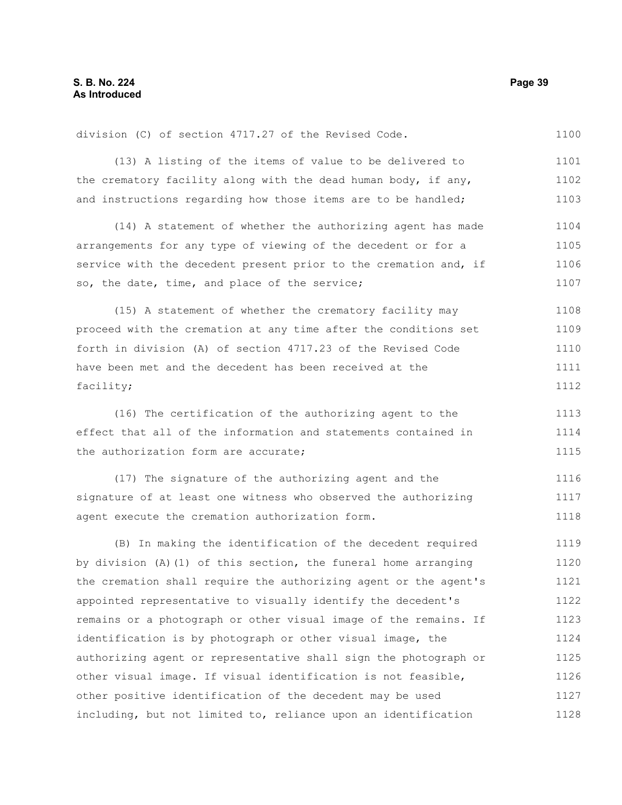division (C) of section 4717.27 of the Revised Code. 1100

(13) A listing of the items of value to be delivered to the crematory facility along with the dead human body, if any, and instructions regarding how those items are to be handled; 1101 1102 1103

(14) A statement of whether the authorizing agent has made arrangements for any type of viewing of the decedent or for a service with the decedent present prior to the cremation and, if so, the date, time, and place of the service; 1104 1105 1106 1107

(15) A statement of whether the crematory facility may proceed with the cremation at any time after the conditions set forth in division (A) of section 4717.23 of the Revised Code have been met and the decedent has been received at the facility; 1108 1109 1110 1111 1112

(16) The certification of the authorizing agent to the effect that all of the information and statements contained in the authorization form are accurate; 1113 1114 1115

(17) The signature of the authorizing agent and the signature of at least one witness who observed the authorizing agent execute the cremation authorization form. 1116 1117 1118

(B) In making the identification of the decedent required by division (A)(1) of this section, the funeral home arranging the cremation shall require the authorizing agent or the agent's appointed representative to visually identify the decedent's remains or a photograph or other visual image of the remains. If identification is by photograph or other visual image, the authorizing agent or representative shall sign the photograph or other visual image. If visual identification is not feasible, other positive identification of the decedent may be used including, but not limited to, reliance upon an identification 1119 1120 1121 1122 1123 1124 1125 1126 1127 1128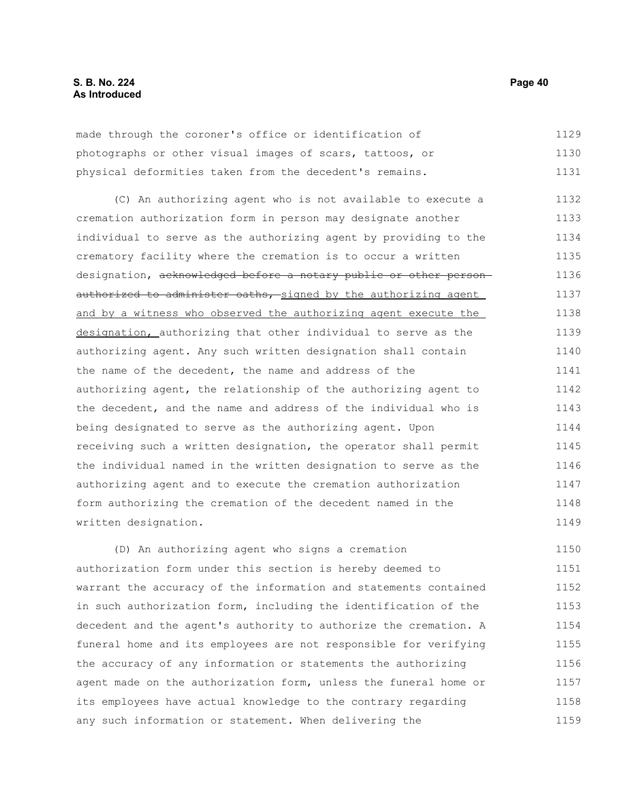made through the coroner's office or identification of photographs or other visual images of scars, tattoos, or physical deformities taken from the decedent's remains. 1129 1130 1131

(C) An authorizing agent who is not available to execute a cremation authorization form in person may designate another individual to serve as the authorizing agent by providing to the crematory facility where the cremation is to occur a written designation, acknowledged before a notary public or other personauthorized to administer oaths, signed by the authorizing agent and by a witness who observed the authorizing agent execute the designation, authorizing that other individual to serve as the authorizing agent. Any such written designation shall contain the name of the decedent, the name and address of the authorizing agent, the relationship of the authorizing agent to the decedent, and the name and address of the individual who is being designated to serve as the authorizing agent. Upon receiving such a written designation, the operator shall permit the individual named in the written designation to serve as the authorizing agent and to execute the cremation authorization form authorizing the cremation of the decedent named in the written designation. 1132 1133 1134 1135 1136 1137 1138 1139 1140 1141 1142 1143 1144 1145 1146 1147 1148 1149

(D) An authorizing agent who signs a cremation authorization form under this section is hereby deemed to warrant the accuracy of the information and statements contained in such authorization form, including the identification of the decedent and the agent's authority to authorize the cremation. A funeral home and its employees are not responsible for verifying the accuracy of any information or statements the authorizing agent made on the authorization form, unless the funeral home or its employees have actual knowledge to the contrary regarding any such information or statement. When delivering the 1150 1151 1152 1153 1154 1155 1156 1157 1158 1159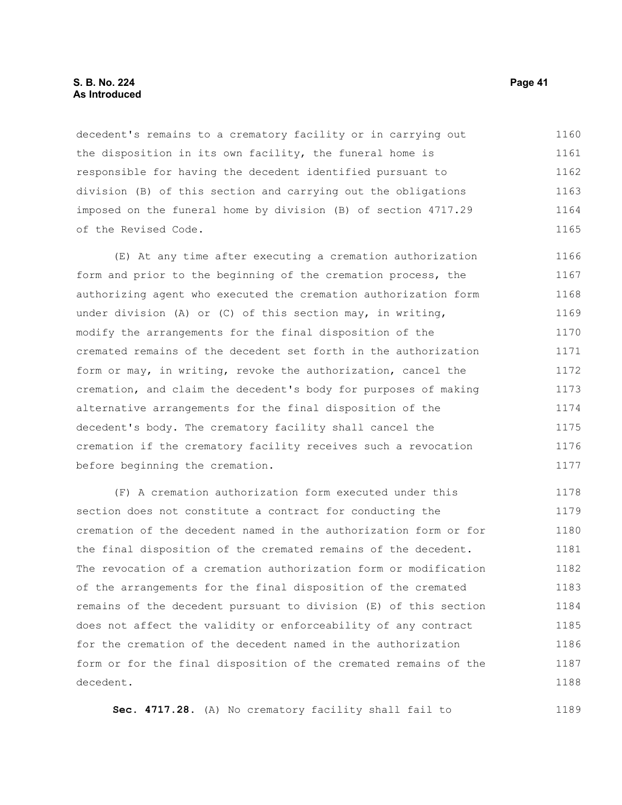#### **S. B. No. 224 Page 41 As Introduced**

decedent's remains to a crematory facility or in carrying out the disposition in its own facility, the funeral home is responsible for having the decedent identified pursuant to division (B) of this section and carrying out the obligations imposed on the funeral home by division (B) of section 4717.29 of the Revised Code. 1160 1161 1162 1163 1164 1165

(E) At any time after executing a cremation authorization form and prior to the beginning of the cremation process, the authorizing agent who executed the cremation authorization form under division (A) or (C) of this section may, in writing, modify the arrangements for the final disposition of the cremated remains of the decedent set forth in the authorization form or may, in writing, revoke the authorization, cancel the cremation, and claim the decedent's body for purposes of making alternative arrangements for the final disposition of the decedent's body. The crematory facility shall cancel the cremation if the crematory facility receives such a revocation before beginning the cremation. 1166 1167 1168 1169 1170 1171 1172 1173 1174 1175 1176 1177

(F) A cremation authorization form executed under this section does not constitute a contract for conducting the cremation of the decedent named in the authorization form or for the final disposition of the cremated remains of the decedent. The revocation of a cremation authorization form or modification of the arrangements for the final disposition of the cremated remains of the decedent pursuant to division (E) of this section does not affect the validity or enforceability of any contract for the cremation of the decedent named in the authorization form or for the final disposition of the cremated remains of the decedent. 1178 1179 1180 1181 1182 1183 1184 1185 1186 1187 1188

**Sec. 4717.28.** (A) No crematory facility shall fail to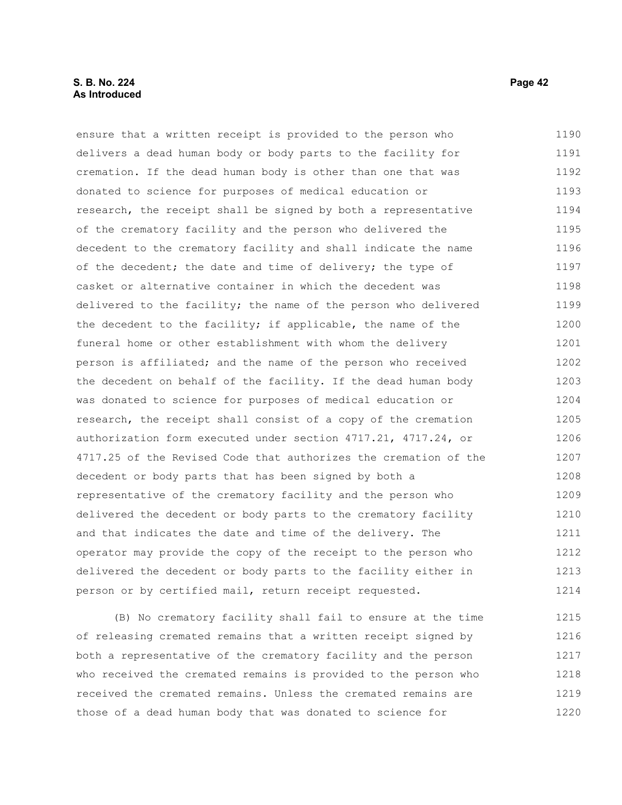#### **S. B. No. 224 Page 42 As Introduced**

ensure that a written receipt is provided to the person who delivers a dead human body or body parts to the facility for cremation. If the dead human body is other than one that was donated to science for purposes of medical education or research, the receipt shall be signed by both a representative of the crematory facility and the person who delivered the decedent to the crematory facility and shall indicate the name of the decedent; the date and time of delivery; the type of casket or alternative container in which the decedent was delivered to the facility; the name of the person who delivered the decedent to the facility; if applicable, the name of the funeral home or other establishment with whom the delivery person is affiliated; and the name of the person who received the decedent on behalf of the facility. If the dead human body was donated to science for purposes of medical education or research, the receipt shall consist of a copy of the cremation authorization form executed under section 4717.21, 4717.24, or 4717.25 of the Revised Code that authorizes the cremation of the decedent or body parts that has been signed by both a representative of the crematory facility and the person who delivered the decedent or body parts to the crematory facility and that indicates the date and time of the delivery. The operator may provide the copy of the receipt to the person who delivered the decedent or body parts to the facility either in person or by certified mail, return receipt requested. 1190 1191 1192 1193 1194 1195 1196 1197 1198 1199 1200 1201 1202 1203 1204 1205 1206 1207 1208 1209 1210 1211 1212 1213 1214

(B) No crematory facility shall fail to ensure at the time of releasing cremated remains that a written receipt signed by both a representative of the crematory facility and the person who received the cremated remains is provided to the person who received the cremated remains. Unless the cremated remains are those of a dead human body that was donated to science for 1215 1216 1217 1218 1219 1220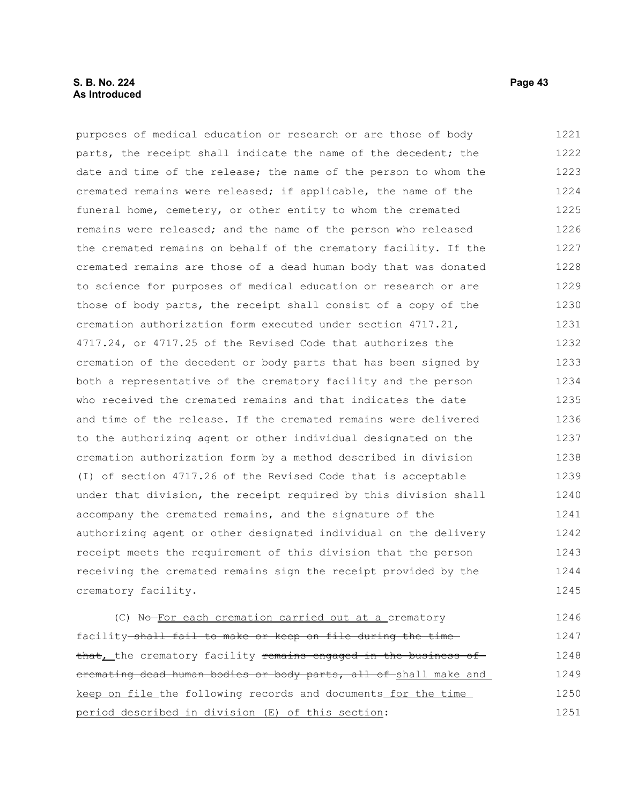### **S. B. No. 224 Page 43 As Introduced**

purposes of medical education or research or are those of body parts, the receipt shall indicate the name of the decedent; the date and time of the release; the name of the person to whom the cremated remains were released; if applicable, the name of the funeral home, cemetery, or other entity to whom the cremated remains were released; and the name of the person who released the cremated remains on behalf of the crematory facility. If the cremated remains are those of a dead human body that was donated to science for purposes of medical education or research or are those of body parts, the receipt shall consist of a copy of the cremation authorization form executed under section 4717.21, 4717.24, or 4717.25 of the Revised Code that authorizes the cremation of the decedent or body parts that has been signed by both a representative of the crematory facility and the person who received the cremated remains and that indicates the date and time of the release. If the cremated remains were delivered to the authorizing agent or other individual designated on the cremation authorization form by a method described in division (I) of section 4717.26 of the Revised Code that is acceptable under that division, the receipt required by this division shall accompany the cremated remains, and the signature of the authorizing agent or other designated individual on the delivery receipt meets the requirement of this division that the person receiving the cremated remains sign the receipt provided by the crematory facility. (C) No-For each cremation carried out at a crematory 1221 1222 1223 1224 1225 1226 1227 1228 1229 1230 1231 1232 1233 1234 1235 1236 1237 1238 1239 1240 1241 1242 1243 1244 1245 1246

facility shall fail to make or keep on file during the time that, the crematory facility remains engaged in the business ofcremating dead human bodies or body parts, all of shall make and keep on file the following records and documents for the time period described in division (E) of this section: 1247 1248 1249 1250 1251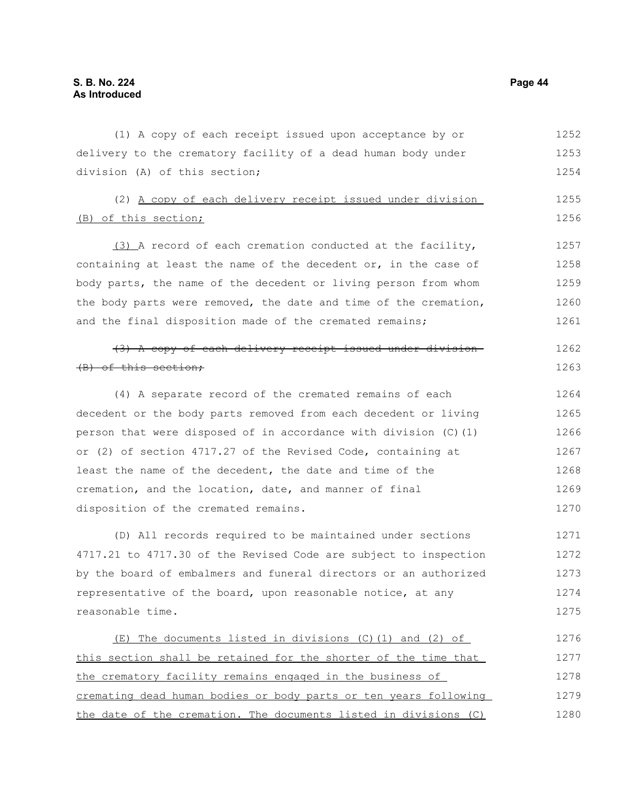(1) A copy of each receipt issued upon acceptance by or delivery to the crematory facility of a dead human body under division (A) of this section; (2) A copy of each delivery receipt issued under division (B) of this section; (3) A record of each cremation conducted at the facility, containing at least the name of the decedent or, in the case of body parts, the name of the decedent or living person from whom the body parts were removed, the date and time of the cremation, and the final disposition made of the cremated remains; (3) A copy of each delivery receipt issued under division (B) of this section; (4) A separate record of the cremated remains of each decedent or the body parts removed from each decedent or living person that were disposed of in accordance with division (C)(1) or (2) of section 4717.27 of the Revised Code, containing at least the name of the decedent, the date and time of the cremation, and the location, date, and manner of final disposition of the cremated remains. (D) All records required to be maintained under sections 4717.21 to 4717.30 of the Revised Code are subject to inspection by the board of embalmers and funeral directors or an authorized representative of the board, upon reasonable notice, at any reasonable time. (E) The documents listed in divisions (C)(1) and (2) of this section shall be retained for the shorter of the time that the crematory facility remains engaged in the business of 1252 1253 1254 1255 1256 1257 1258 1259 1260 1261 1262 1263 1264 1265 1266 1267 1268 1269 1270 1271 1272 1273 1274 1275 1276 1277 1278

cremating dead human bodies or body parts or ten years following the date of the cremation. The documents listed in divisions (C) 1279 1280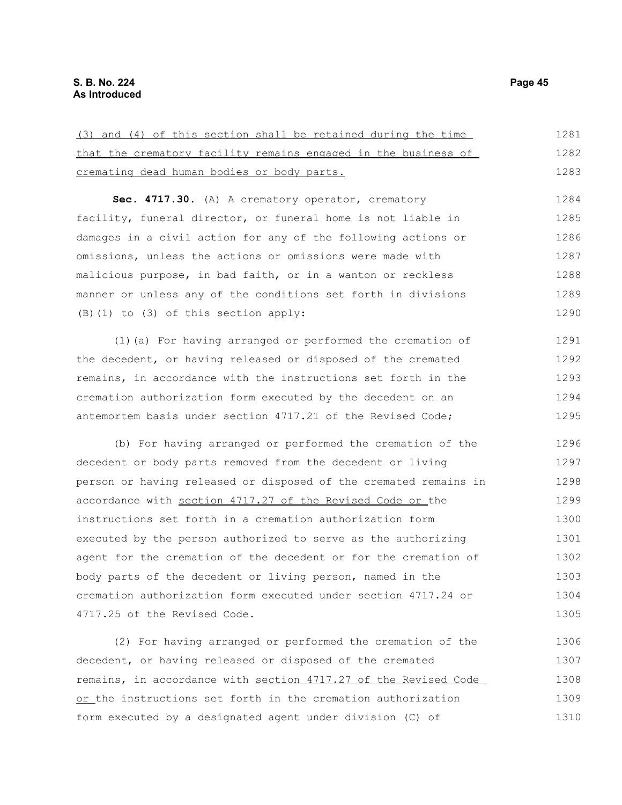| (3) and (4) of this section shall be retained during the time  | 1281 |
|----------------------------------------------------------------|------|
| that the crematory facility remains engaged in the business of | 1282 |
| cremating dead human bodies or body parts.                     | 1283 |
| Sec. 4717.30. (A) A crematory operator, crematory              | 1284 |
| facility, funeral director, or funeral home is not liable in   | 1285 |
| damages in a civil action for any of the following actions or  | 1286 |
| omissions, unless the actions or omissions were made with      | 1287 |

malicious purpose, in bad faith, or in a wanton or reckless manner or unless any of the conditions set forth in divisions (B)(1) to (3) of this section apply: 1288 1289 1290

(1)(a) For having arranged or performed the cremation of the decedent, or having released or disposed of the cremated remains, in accordance with the instructions set forth in the cremation authorization form executed by the decedent on an antemortem basis under section 4717.21 of the Revised Code; 1291 1292 1293 1294 1295

(b) For having arranged or performed the cremation of the decedent or body parts removed from the decedent or living person or having released or disposed of the cremated remains in accordance with section 4717.27 of the Revised Code or the instructions set forth in a cremation authorization form executed by the person authorized to serve as the authorizing agent for the cremation of the decedent or for the cremation of body parts of the decedent or living person, named in the cremation authorization form executed under section 4717.24 or 4717.25 of the Revised Code. 1296 1297 1298 1299 1300 1301 1302 1303 1304 1305

(2) For having arranged or performed the cremation of the decedent, or having released or disposed of the cremated remains, in accordance with section 4717.27 of the Revised Code or the instructions set forth in the cremation authorization form executed by a designated agent under division (C) of 1306 1307 1308 1309 1310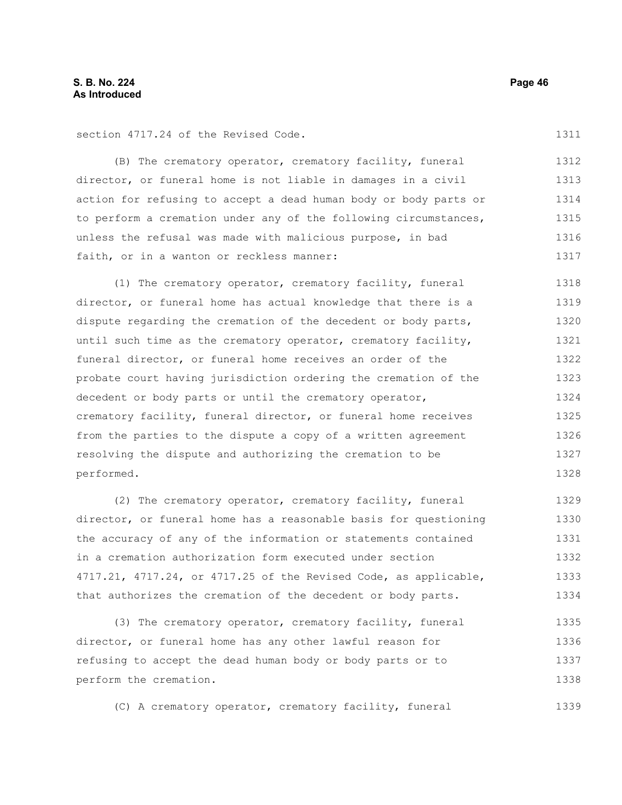section 4717.24 of the Revised Code.

(B) The crematory operator, crematory facility, funeral director, or funeral home is not liable in damages in a civil action for refusing to accept a dead human body or body parts or to perform a cremation under any of the following circumstances, unless the refusal was made with malicious purpose, in bad faith, or in a wanton or reckless manner: 1312 1313 1314 1315 1316 1317

(1) The crematory operator, crematory facility, funeral director, or funeral home has actual knowledge that there is a dispute regarding the cremation of the decedent or body parts, until such time as the crematory operator, crematory facility, funeral director, or funeral home receives an order of the probate court having jurisdiction ordering the cremation of the decedent or body parts or until the crematory operator, crematory facility, funeral director, or funeral home receives from the parties to the dispute a copy of a written agreement resolving the dispute and authorizing the cremation to be performed. 1318 1319 1320 1321 1322 1323 1324 1325 1326 1327 1328

(2) The crematory operator, crematory facility, funeral director, or funeral home has a reasonable basis for questioning the accuracy of any of the information or statements contained in a cremation authorization form executed under section 4717.21, 4717.24, or 4717.25 of the Revised Code, as applicable, that authorizes the cremation of the decedent or body parts. 1329 1330 1331 1332 1333 1334

(3) The crematory operator, crematory facility, funeral director, or funeral home has any other lawful reason for refusing to accept the dead human body or body parts or to perform the cremation. 1335 1336 1337 1338

(C) A crematory operator, crematory facility, funeral 1339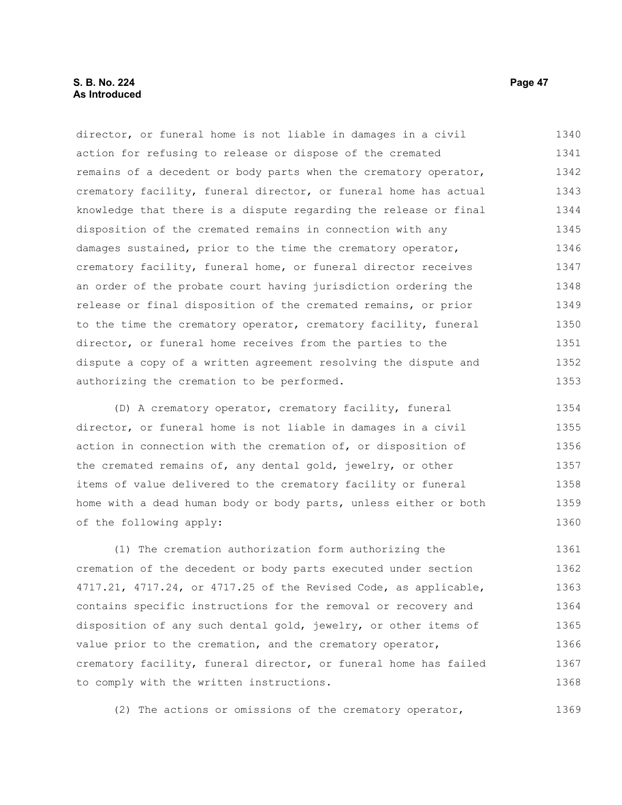#### **S. B. No. 224 Page 47 As Introduced**

director, or funeral home is not liable in damages in a civil action for refusing to release or dispose of the cremated remains of a decedent or body parts when the crematory operator, crematory facility, funeral director, or funeral home has actual knowledge that there is a dispute regarding the release or final disposition of the cremated remains in connection with any damages sustained, prior to the time the crematory operator, crematory facility, funeral home, or funeral director receives an order of the probate court having jurisdiction ordering the release or final disposition of the cremated remains, or prior to the time the crematory operator, crematory facility, funeral director, or funeral home receives from the parties to the dispute a copy of a written agreement resolving the dispute and authorizing the cremation to be performed. 1340 1341 1342 1343 1344 1345 1346 1347 1348 1349 1350 1351 1352 1353

(D) A crematory operator, crematory facility, funeral director, or funeral home is not liable in damages in a civil action in connection with the cremation of, or disposition of the cremated remains of, any dental gold, jewelry, or other items of value delivered to the crematory facility or funeral home with a dead human body or body parts, unless either or both of the following apply: 1354 1355 1356 1357 1358 1359 1360

(1) The cremation authorization form authorizing the cremation of the decedent or body parts executed under section 4717.21, 4717.24, or 4717.25 of the Revised Code, as applicable, contains specific instructions for the removal or recovery and disposition of any such dental gold, jewelry, or other items of value prior to the cremation, and the crematory operator, crematory facility, funeral director, or funeral home has failed to comply with the written instructions. 1361 1362 1363 1364 1365 1366 1367 1368

(2) The actions or omissions of the crematory operator,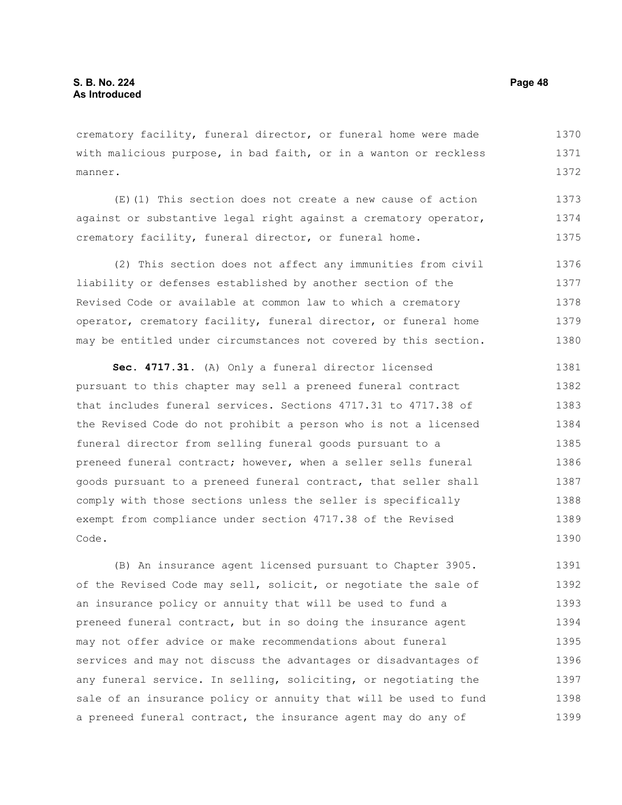crematory facility, funeral director, or funeral home were made with malicious purpose, in bad faith, or in a wanton or reckless manner. 1370 1371 1372

(E)(1) This section does not create a new cause of action against or substantive legal right against a crematory operator, crematory facility, funeral director, or funeral home. 1373 1374 1375

(2) This section does not affect any immunities from civil liability or defenses established by another section of the Revised Code or available at common law to which a crematory operator, crematory facility, funeral director, or funeral home may be entitled under circumstances not covered by this section. 1376 1377 1378 1379 1380

**Sec. 4717.31.** (A) Only a funeral director licensed pursuant to this chapter may sell a preneed funeral contract that includes funeral services. Sections 4717.31 to 4717.38 of the Revised Code do not prohibit a person who is not a licensed funeral director from selling funeral goods pursuant to a preneed funeral contract; however, when a seller sells funeral goods pursuant to a preneed funeral contract, that seller shall comply with those sections unless the seller is specifically exempt from compliance under section 4717.38 of the Revised Code. 1381 1382 1383 1384 1385 1386 1387 1388 1389 1390

(B) An insurance agent licensed pursuant to Chapter 3905. of the Revised Code may sell, solicit, or negotiate the sale of an insurance policy or annuity that will be used to fund a preneed funeral contract, but in so doing the insurance agent may not offer advice or make recommendations about funeral services and may not discuss the advantages or disadvantages of any funeral service. In selling, soliciting, or negotiating the sale of an insurance policy or annuity that will be used to fund a preneed funeral contract, the insurance agent may do any of 1391 1392 1393 1394 1395 1396 1397 1398 1399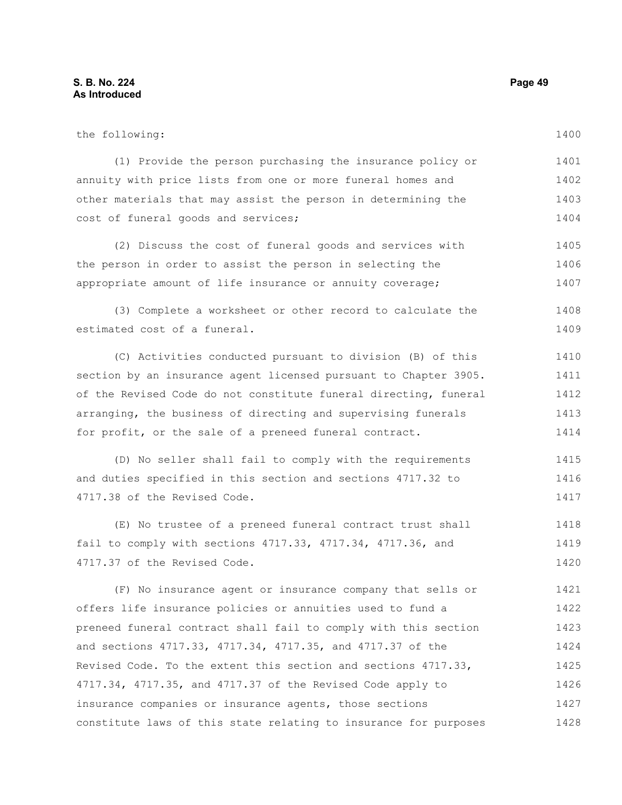the following: (1) Provide the person purchasing the insurance policy or annuity with price lists from one or more funeral homes and other materials that may assist the person in determining the cost of funeral goods and services; (2) Discuss the cost of funeral goods and services with the person in order to assist the person in selecting the appropriate amount of life insurance or annuity coverage; (3) Complete a worksheet or other record to calculate the estimated cost of a funeral. (C) Activities conducted pursuant to division (B) of this section by an insurance agent licensed pursuant to Chapter 3905. of the Revised Code do not constitute funeral directing, funeral arranging, the business of directing and supervising funerals for profit, or the sale of a preneed funeral contract. (D) No seller shall fail to comply with the requirements and duties specified in this section and sections 4717.32 to 4717.38 of the Revised Code. 1401 1402 1403 1404 1405 1406 1407 1408 1409 1410 1411 1412 1413 1414 1415 1416 1417

(E) No trustee of a preneed funeral contract trust shall fail to comply with sections 4717.33, 4717.34, 4717.36, and 4717.37 of the Revised Code. 1418 1419 1420

(F) No insurance agent or insurance company that sells or offers life insurance policies or annuities used to fund a preneed funeral contract shall fail to comply with this section and sections 4717.33, 4717.34, 4717.35, and 4717.37 of the Revised Code. To the extent this section and sections 4717.33, 4717.34, 4717.35, and 4717.37 of the Revised Code apply to insurance companies or insurance agents, those sections constitute laws of this state relating to insurance for purposes 1421 1422 1423 1424 1425 1426 1427 1428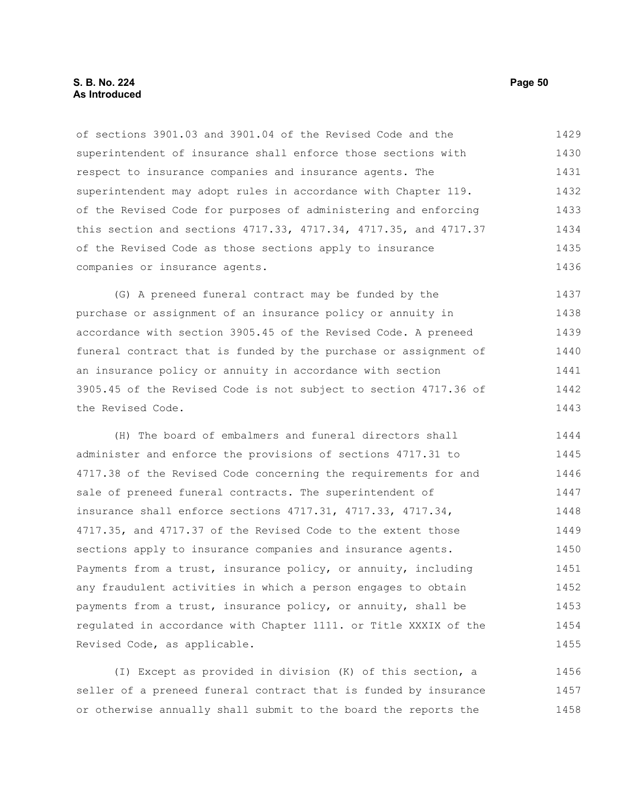#### **S. B. No. 224 Page 50 As Introduced**

of sections 3901.03 and 3901.04 of the Revised Code and the superintendent of insurance shall enforce those sections with respect to insurance companies and insurance agents. The superintendent may adopt rules in accordance with Chapter 119. of the Revised Code for purposes of administering and enforcing this section and sections 4717.33, 4717.34, 4717.35, and 4717.37 of the Revised Code as those sections apply to insurance companies or insurance agents. 1429 1430 1431 1432 1433 1434 1435 1436

(G) A preneed funeral contract may be funded by the purchase or assignment of an insurance policy or annuity in accordance with section 3905.45 of the Revised Code. A preneed funeral contract that is funded by the purchase or assignment of an insurance policy or annuity in accordance with section 3905.45 of the Revised Code is not subject to section 4717.36 of the Revised Code. 1437 1438 1439 1440 1441 1442 1443

(H) The board of embalmers and funeral directors shall administer and enforce the provisions of sections 4717.31 to 4717.38 of the Revised Code concerning the requirements for and sale of preneed funeral contracts. The superintendent of insurance shall enforce sections 4717.31, 4717.33, 4717.34, 4717.35, and 4717.37 of the Revised Code to the extent those sections apply to insurance companies and insurance agents. Payments from a trust, insurance policy, or annuity, including any fraudulent activities in which a person engages to obtain payments from a trust, insurance policy, or annuity, shall be regulated in accordance with Chapter 1111. or Title XXXIX of the Revised Code, as applicable. 1444 1445 1446 1447 1448 1449 1450 1451 1452 1453 1454 1455

(I) Except as provided in division (K) of this section, a seller of a preneed funeral contract that is funded by insurance or otherwise annually shall submit to the board the reports the 1456 1457 1458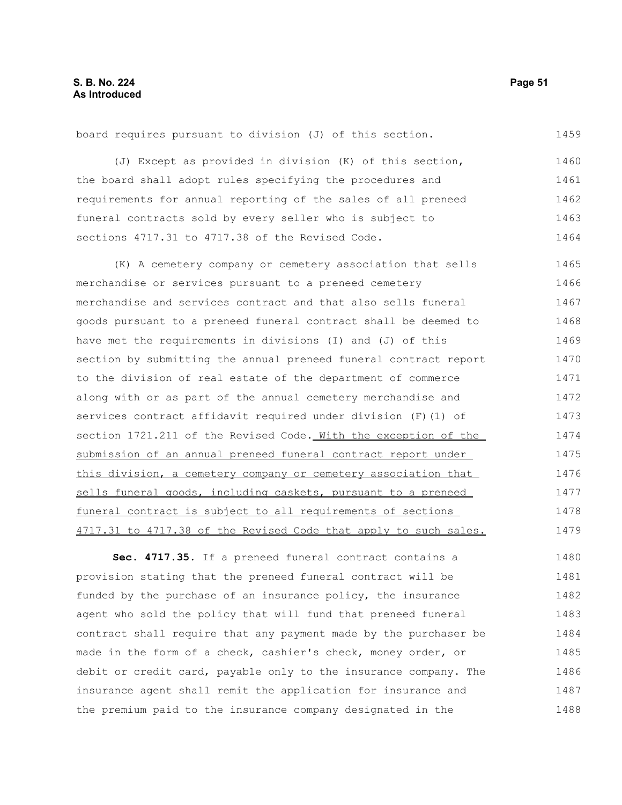(J) Except as provided in division (K) of this section, the board shall adopt rules specifying the procedures and requirements for annual reporting of the sales of all preneed funeral contracts sold by every seller who is subject to sections 4717.31 to 4717.38 of the Revised Code. 1460 1461 1462 1463 1464

board requires pursuant to division (J) of this section.

(K) A cemetery company or cemetery association that sells merchandise or services pursuant to a preneed cemetery merchandise and services contract and that also sells funeral goods pursuant to a preneed funeral contract shall be deemed to have met the requirements in divisions (I) and (J) of this section by submitting the annual preneed funeral contract report to the division of real estate of the department of commerce along with or as part of the annual cemetery merchandise and services contract affidavit required under division (F)(1) of section 1721.211 of the Revised Code. With the exception of the submission of an annual preneed funeral contract report under this division, a cemetery company or cemetery association that sells funeral goods, including caskets, pursuant to a preneed funeral contract is subject to all requirements of sections 4717.31 to 4717.38 of the Revised Code that apply to such sales. 1465 1466 1467 1468 1469 1470 1471 1472 1473 1474 1475 1476 1477 1478 1479

Sec. 4717.35. If a preneed funeral contract contains a provision stating that the preneed funeral contract will be funded by the purchase of an insurance policy, the insurance agent who sold the policy that will fund that preneed funeral contract shall require that any payment made by the purchaser be made in the form of a check, cashier's check, money order, or debit or credit card, payable only to the insurance company. The insurance agent shall remit the application for insurance and the premium paid to the insurance company designated in the 1480 1481 1482 1483 1484 1485 1486 1487 1488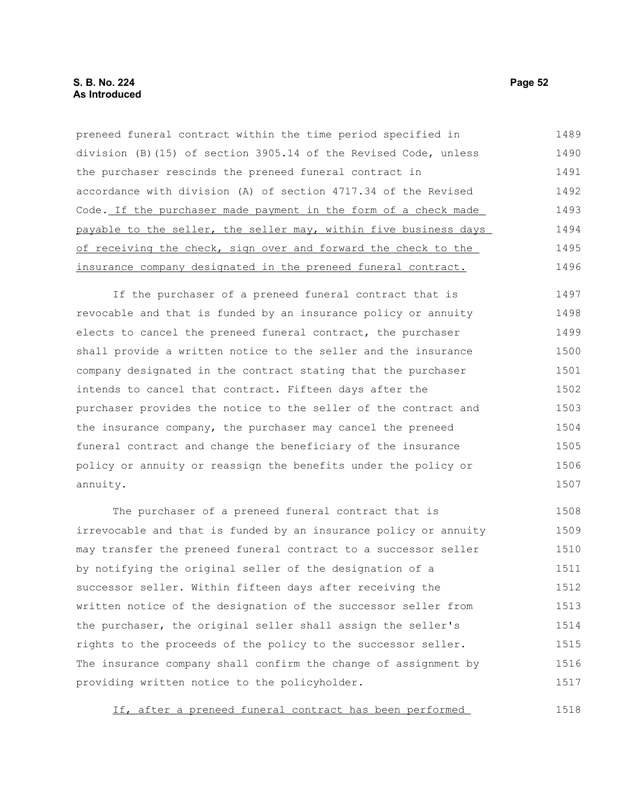| preneed funeral contract within the time period specified in     | 1489 |
|------------------------------------------------------------------|------|
| division (B) (15) of section 3905.14 of the Revised Code, unless | 1490 |
| the purchaser rescinds the preneed funeral contract in           | 1491 |
| accordance with division (A) of section 4717.34 of the Revised   | 1492 |
| Code. If the purchaser made payment in the form of a check made  | 1493 |
| payable to the seller, the seller may, within five business days | 1494 |
| of receiving the check, sign over and forward the check to the   | 1495 |
| insurance company designated in the preneed funeral contract.    | 1496 |
|                                                                  |      |

If the purchaser of a preneed funeral contract that is revocable and that is funded by an insurance policy or annuity elects to cancel the preneed funeral contract, the purchaser shall provide a written notice to the seller and the insurance company designated in the contract stating that the purchaser intends to cancel that contract. Fifteen days after the purchaser provides the notice to the seller of the contract and the insurance company, the purchaser may cancel the preneed funeral contract and change the beneficiary of the insurance policy or annuity or reassign the benefits under the policy or annuity. 1497 1498 1499 1500 1501 1502 1503 1504 1505 1506 1507

The purchaser of a preneed funeral contract that is irrevocable and that is funded by an insurance policy or annuity may transfer the preneed funeral contract to a successor seller by notifying the original seller of the designation of a successor seller. Within fifteen days after receiving the written notice of the designation of the successor seller from the purchaser, the original seller shall assign the seller's rights to the proceeds of the policy to the successor seller. The insurance company shall confirm the change of assignment by providing written notice to the policyholder. 1508 1509 1510 1511 1512 1513 1514 1515 1516 1517

If, after a preneed funeral contract has been performed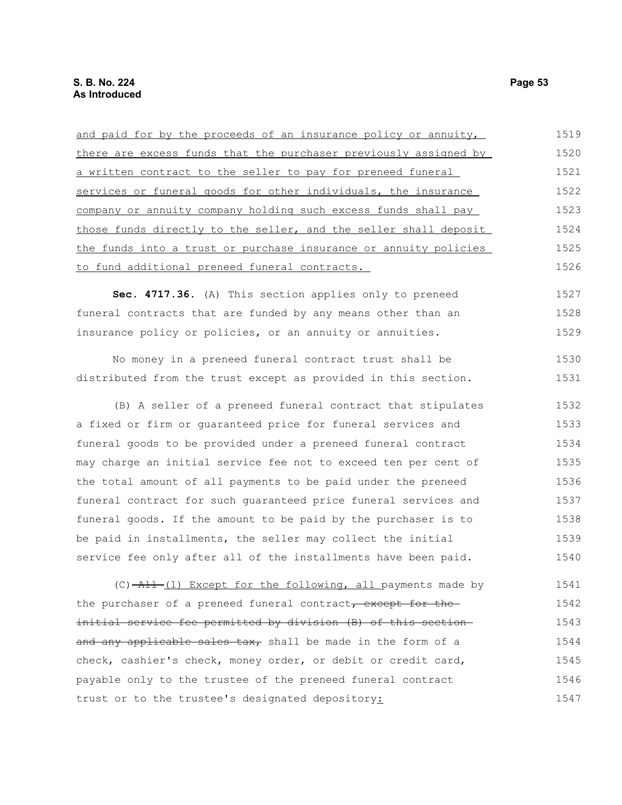| and paid for by the proceeds of an insurance policy or annuity,  | 1519 |
|------------------------------------------------------------------|------|
| there are excess funds that the purchaser previously assigned by | 1520 |
| a written contract to the seller to pay for preneed funeral      | 1521 |
| services or funeral goods for other individuals, the insurance   | 1522 |
| company or annuity company holding such excess funds shall pay   | 1523 |
| those funds directly to the seller, and the seller shall deposit | 1524 |
| the funds into a trust or purchase insurance or annuity policies | 1525 |
| to fund additional preneed funeral contracts.                    | 1526 |
| Sec. 4717.36. (A) This section applies only to preneed           | 1527 |
| funeral contracts that are funded by any means other than an     | 1528 |
| insurance policy or policies, or an annuity or annuities.        | 1529 |
| No money in a preneed funeral contract trust shall be            | 1530 |
| distributed from the trust except as provided in this section.   | 1531 |
| (B) A seller of a preneed funeral contract that stipulates       | 1532 |
| a fixed or firm or guaranteed price for funeral services and     | 1533 |
| funeral goods to be provided under a preneed funeral contract    | 1534 |
| may charge an initial service fee not to exceed ten per cent of  | 1535 |
| the total amount of all payments to be paid under the preneed    | 1536 |
| funeral contract for such quaranteed price funeral services and  | 1537 |
| funeral goods. If the amount to be paid by the purchaser is to   | 1538 |
| be paid in installments, the seller may collect the initial      | 1539 |
| service fee only after all of the installments have been paid.   | 1540 |
| (C) -All-(1) Except for the following, all payments made by      | 1541 |
| the purchaser of a preneed funeral contract, except for the      | 1542 |
| initial service fee permitted by division (B) of this section-   | 1543 |
| and any applicable sales tax, shall be made in the form of a     | 1544 |
| check, cashier's check, money order, or debit or credit card,    | 1545 |
| payable only to the trustee of the preneed funeral contract      | 1546 |
| trust or to the trustee's designated depository:                 | 1547 |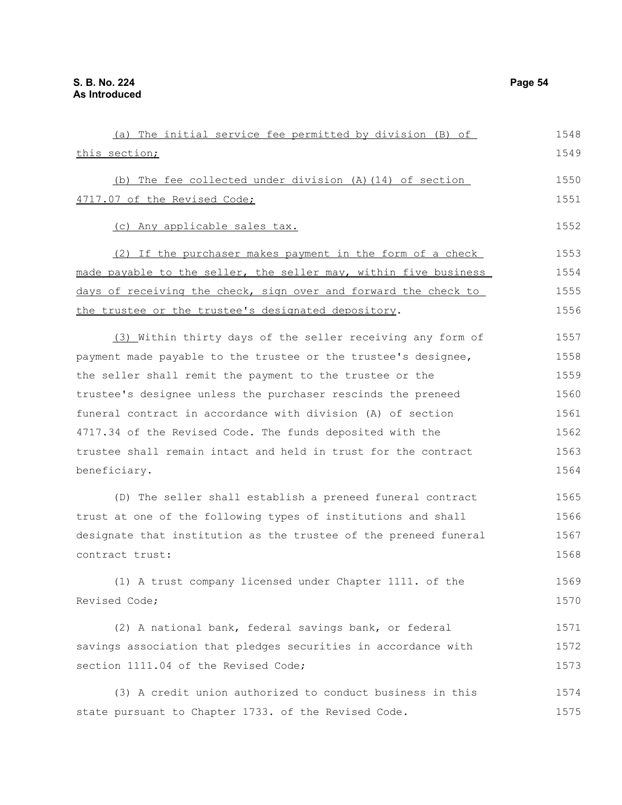| (a) The initial service fee permitted by division (B) of         | 1548 |
|------------------------------------------------------------------|------|
| this section;                                                    | 1549 |
| (b) The fee collected under division (A) (14) of section         | 1550 |
| 4717.07 of the Revised Code;                                     | 1551 |
|                                                                  |      |
| (c) Any applicable sales tax.                                    | 1552 |
| (2) If the purchaser makes payment in the form of a check        | 1553 |
| made payable to the seller, the seller may, within five business | 1554 |
| days of receiving the check, sign over and forward the check to  | 1555 |
| the trustee or the trustee's designated depository.              | 1556 |
| (3) Within thirty days of the seller receiving any form of       | 1557 |
| payment made payable to the trustee or the trustee's designee,   | 1558 |
| the seller shall remit the payment to the trustee or the         | 1559 |
| trustee's designee unless the purchaser rescinds the preneed     | 1560 |
| funeral contract in accordance with division (A) of section      | 1561 |
| 4717.34 of the Revised Code. The funds deposited with the        | 1562 |
| trustee shall remain intact and held in trust for the contract   | 1563 |
| beneficiary.                                                     | 1564 |
| (D) The seller shall establish a preneed funeral contract        | 1565 |
| trust at one of the following types of institutions and shall    | 1566 |
| designate that institution as the trustee of the preneed funeral | 1567 |
| contract trust:                                                  | 1568 |
| (1) A trust company licensed under Chapter 1111. of the          | 1569 |
| Revised Code;                                                    | 1570 |
| (2) A national bank, federal savings bank, or federal            | 1571 |
| savings association that pledges securities in accordance with   | 1572 |
| section 1111.04 of the Revised Code;                             | 1573 |
| (3) A credit union authorized to conduct business in this        | 1574 |
| state pursuant to Chapter 1733. of the Revised Code.             | 1575 |
|                                                                  |      |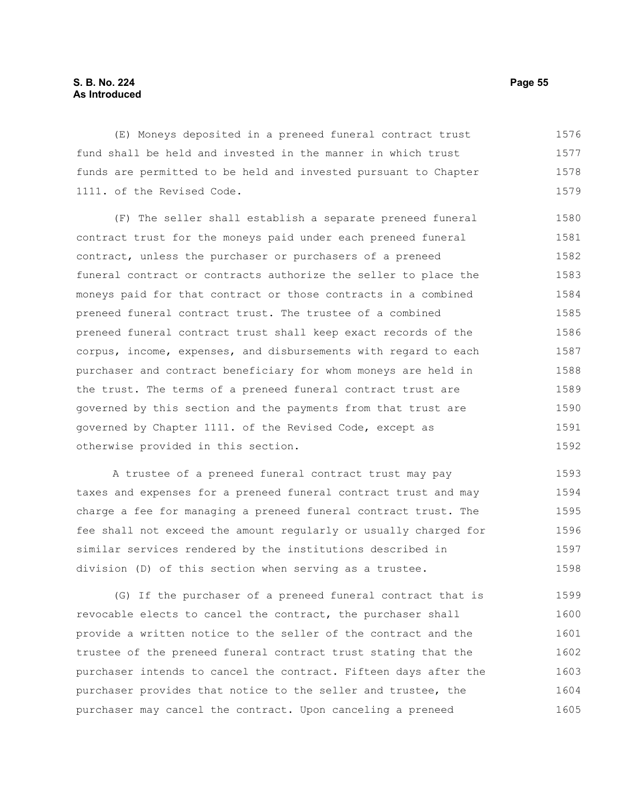### **S. B. No. 224 Page 55 As Introduced**

(E) Moneys deposited in a preneed funeral contract trust fund shall be held and invested in the manner in which trust funds are permitted to be held and invested pursuant to Chapter 1111. of the Revised Code. 1576 1577 1578 1579

(F) The seller shall establish a separate preneed funeral contract trust for the moneys paid under each preneed funeral contract, unless the purchaser or purchasers of a preneed funeral contract or contracts authorize the seller to place the moneys paid for that contract or those contracts in a combined preneed funeral contract trust. The trustee of a combined preneed funeral contract trust shall keep exact records of the corpus, income, expenses, and disbursements with regard to each purchaser and contract beneficiary for whom moneys are held in the trust. The terms of a preneed funeral contract trust are governed by this section and the payments from that trust are governed by Chapter 1111. of the Revised Code, except as otherwise provided in this section. 1580 1581 1582 1583 1584 1585 1586 1587 1588 1589 1590 1591 1592

A trustee of a preneed funeral contract trust may pay taxes and expenses for a preneed funeral contract trust and may charge a fee for managing a preneed funeral contract trust. The fee shall not exceed the amount regularly or usually charged for similar services rendered by the institutions described in division (D) of this section when serving as a trustee. 1593 1594 1595 1596 1597 1598

(G) If the purchaser of a preneed funeral contract that is revocable elects to cancel the contract, the purchaser shall provide a written notice to the seller of the contract and the trustee of the preneed funeral contract trust stating that the purchaser intends to cancel the contract. Fifteen days after the purchaser provides that notice to the seller and trustee, the purchaser may cancel the contract. Upon canceling a preneed 1599 1600 1601 1602 1603 1604 1605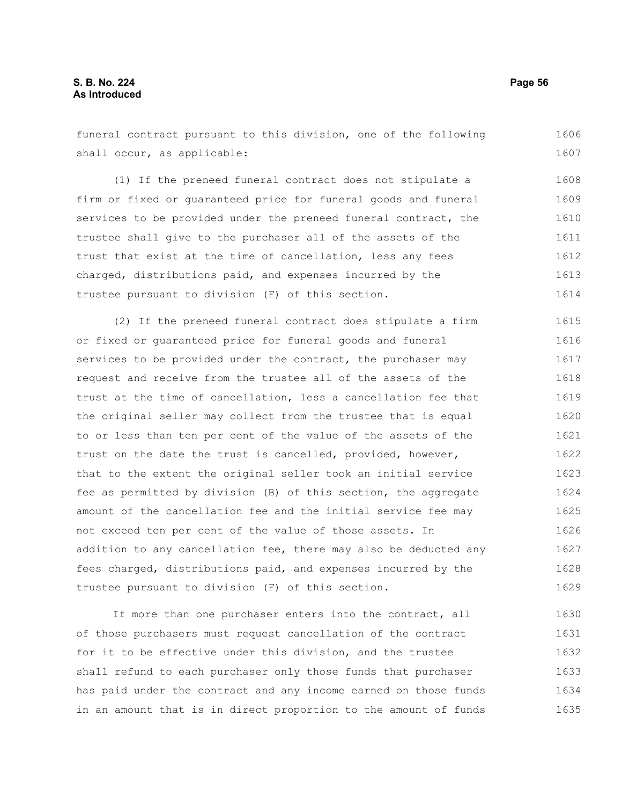funeral contract pursuant to this division, one of the following shall occur, as applicable: 1606 1607

(1) If the preneed funeral contract does not stipulate a firm or fixed or guaranteed price for funeral goods and funeral services to be provided under the preneed funeral contract, the trustee shall give to the purchaser all of the assets of the trust that exist at the time of cancellation, less any fees charged, distributions paid, and expenses incurred by the trustee pursuant to division (F) of this section. 1608 1609 1610 1611 1612 1613 1614

(2) If the preneed funeral contract does stipulate a firm or fixed or guaranteed price for funeral goods and funeral services to be provided under the contract, the purchaser may request and receive from the trustee all of the assets of the trust at the time of cancellation, less a cancellation fee that the original seller may collect from the trustee that is equal to or less than ten per cent of the value of the assets of the trust on the date the trust is cancelled, provided, however, that to the extent the original seller took an initial service fee as permitted by division (B) of this section, the aggregate amount of the cancellation fee and the initial service fee may not exceed ten per cent of the value of those assets. In addition to any cancellation fee, there may also be deducted any fees charged, distributions paid, and expenses incurred by the trustee pursuant to division (F) of this section. 1615 1616 1617 1618 1619 1620 1621 1622 1623 1624 1625 1626 1627 1628 1629

If more than one purchaser enters into the contract, all of those purchasers must request cancellation of the contract for it to be effective under this division, and the trustee shall refund to each purchaser only those funds that purchaser has paid under the contract and any income earned on those funds in an amount that is in direct proportion to the amount of funds 1630 1631 1632 1633 1634 1635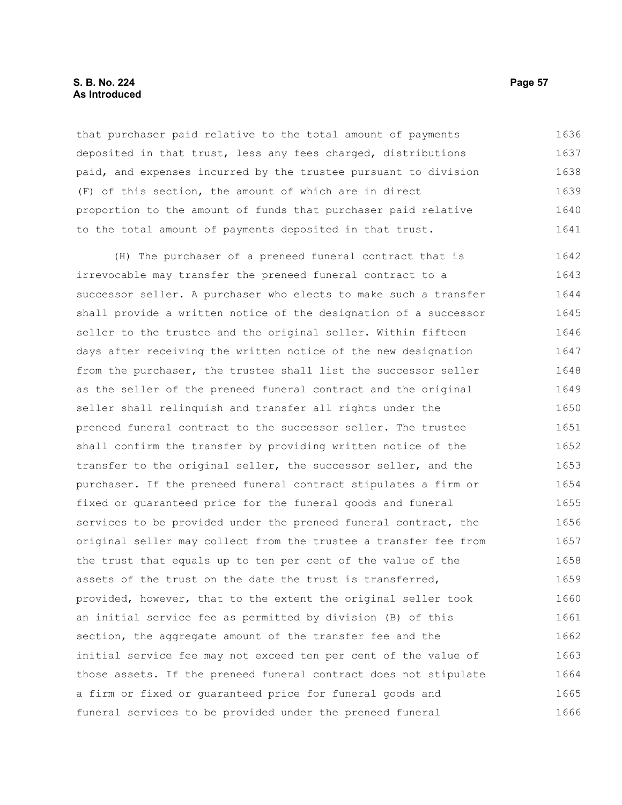#### **S. B. No. 224 Page 57 As Introduced**

that purchaser paid relative to the total amount of payments deposited in that trust, less any fees charged, distributions paid, and expenses incurred by the trustee pursuant to division (F) of this section, the amount of which are in direct proportion to the amount of funds that purchaser paid relative to the total amount of payments deposited in that trust. 1636 1637 1638 1639 1640 1641

(H) The purchaser of a preneed funeral contract that is irrevocable may transfer the preneed funeral contract to a successor seller. A purchaser who elects to make such a transfer shall provide a written notice of the designation of a successor seller to the trustee and the original seller. Within fifteen days after receiving the written notice of the new designation from the purchaser, the trustee shall list the successor seller as the seller of the preneed funeral contract and the original seller shall relinquish and transfer all rights under the preneed funeral contract to the successor seller. The trustee shall confirm the transfer by providing written notice of the transfer to the original seller, the successor seller, and the purchaser. If the preneed funeral contract stipulates a firm or fixed or guaranteed price for the funeral goods and funeral services to be provided under the preneed funeral contract, the original seller may collect from the trustee a transfer fee from the trust that equals up to ten per cent of the value of the assets of the trust on the date the trust is transferred, provided, however, that to the extent the original seller took an initial service fee as permitted by division (B) of this section, the aggregate amount of the transfer fee and the initial service fee may not exceed ten per cent of the value of those assets. If the preneed funeral contract does not stipulate a firm or fixed or guaranteed price for funeral goods and funeral services to be provided under the preneed funeral 1642 1643 1644 1645 1646 1647 1648 1649 1650 1651 1652 1653 1654 1655 1656 1657 1658 1659 1660 1661 1662 1663 1664 1665 1666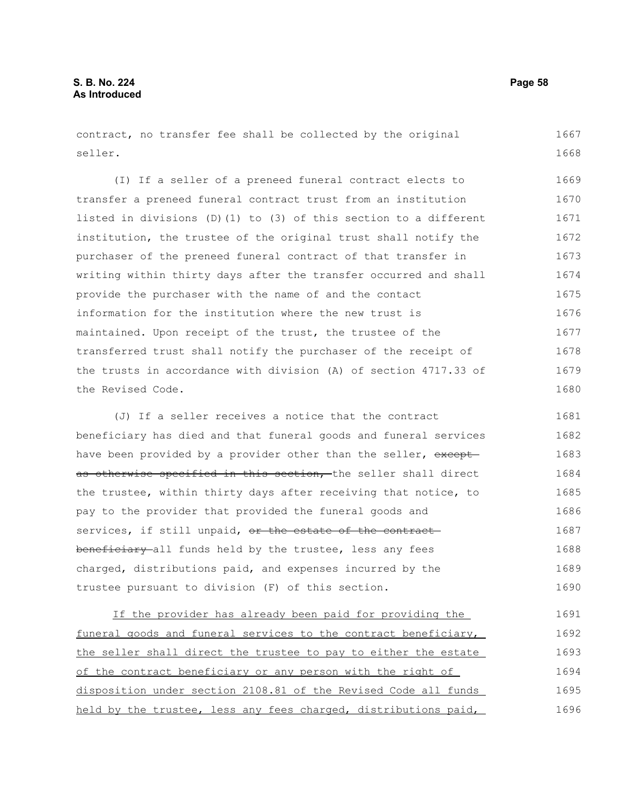contract, no transfer fee shall be collected by the original seller. 1667 1668

(I) If a seller of a preneed funeral contract elects to transfer a preneed funeral contract trust from an institution listed in divisions (D)(1) to (3) of this section to a different institution, the trustee of the original trust shall notify the purchaser of the preneed funeral contract of that transfer in writing within thirty days after the transfer occurred and shall provide the purchaser with the name of and the contact information for the institution where the new trust is maintained. Upon receipt of the trust, the trustee of the transferred trust shall notify the purchaser of the receipt of the trusts in accordance with division (A) of section 4717.33 of the Revised Code. 1669 1670 1671 1672 1673 1674 1675 1676 1677 1678 1679 1680

(J) If a seller receives a notice that the contract beneficiary has died and that funeral goods and funeral services have been provided by a provider other than the seller, exceptas otherwise specified in this section, the seller shall direct the trustee, within thirty days after receiving that notice, to pay to the provider that provided the funeral goods and services, if still unpaid, or the estate of the contractbeneficiary all funds held by the trustee, less any fees charged, distributions paid, and expenses incurred by the trustee pursuant to division (F) of this section. 1681 1682 1683 1684 1685 1686 1687 1688 1689 1690

If the provider has already been paid for providing the funeral goods and funeral services to the contract beneficiary, the seller shall direct the trustee to pay to either the estate of the contract beneficiary or any person with the right of disposition under section 2108.81 of the Revised Code all funds held by the trustee, less any fees charged, distributions paid, 1691 1692 1693 1694 1695 1696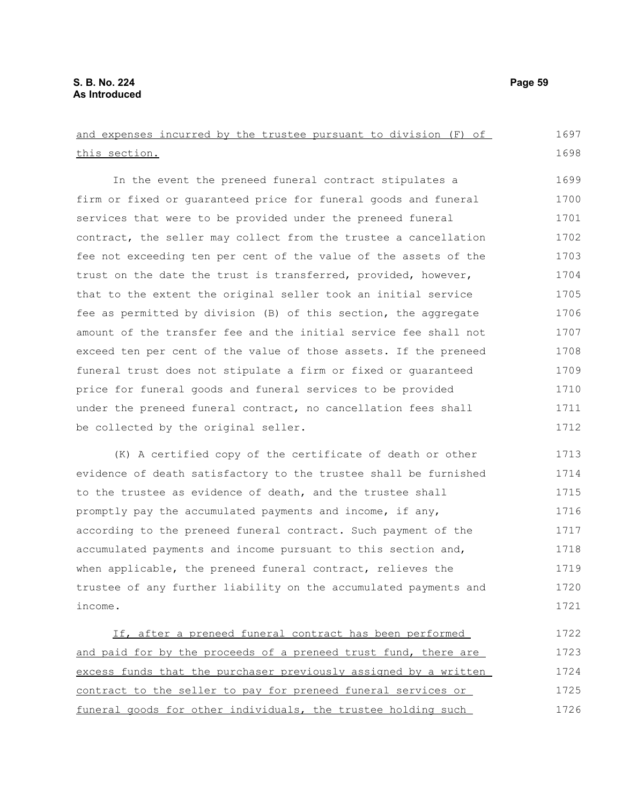and expenses incurred by the trustee pursuant to division (F) of this section. In the event the preneed funeral contract stipulates a firm or fixed or guaranteed price for funeral goods and funeral services that were to be provided under the preneed funeral contract, the seller may collect from the trustee a cancellation fee not exceeding ten per cent of the value of the assets of the trust on the date the trust is transferred, provided, however, that to the extent the original seller took an initial service fee as permitted by division (B) of this section, the aggregate amount of the transfer fee and the initial service fee shall not exceed ten per cent of the value of those assets. If the preneed funeral trust does not stipulate a firm or fixed or guaranteed price for funeral goods and funeral services to be provided under the preneed funeral contract, no cancellation fees shall be collected by the original seller. (K) A certified copy of the certificate of death or other evidence of death satisfactory to the trustee shall be furnished to the trustee as evidence of death, and the trustee shall promptly pay the accumulated payments and income, if any, according to the preneed funeral contract. Such payment of the accumulated payments and income pursuant to this section and, when applicable, the preneed funeral contract, relieves the trustee of any further liability on the accumulated payments and income. 1697 1698 1699 1700 1701 1702 1703 1704 1705 1706 1707 1708 1709 1710 1711 1712 1713 1714 1715 1716 1717 1718 1719 1720 1721

If, after a preneed funeral contract has been performed and paid for by the proceeds of a preneed trust fund, there are excess funds that the purchaser previously assigned by a written contract to the seller to pay for preneed funeral services or funeral goods for other individuals, the trustee holding such 1722 1723 1724 1725 1726